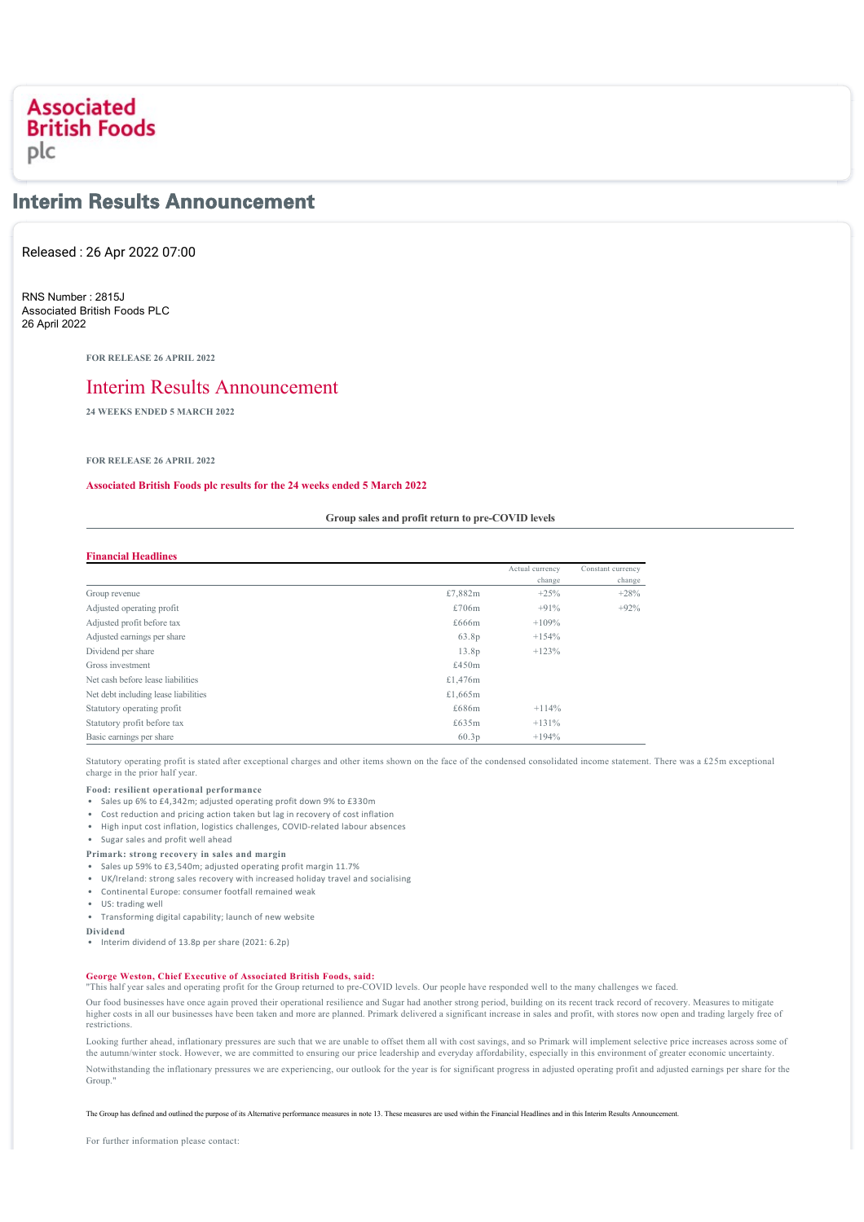# **Associated British Foods** рlс

# Interim Results Announcement

Released : 26 Apr 2022 07:00

RNS Number : 2815J Associated British Foods PLC 26 April 2022

**FOR RELEASE 26 APRIL 2022**

# Interim Results Announcement

**24 WEEKS ENDED 5 MARCH 2022**

**FOR RELEASE 26 APRIL 2022**

#### **Associated British Foods plc results for the 24 weeks ended 5 March 2022**

#### **Group sales and profit return to pre-COVID levels**

#### **Financial Headlines**

| .                                    |            |                 |                   |
|--------------------------------------|------------|-----------------|-------------------|
|                                      |            | Actual currency | Constant currency |
|                                      |            | change          | change            |
| Group revenue                        | £7,882m    | $+25%$          | $+28%$            |
| Adjusted operating profit            | £706m      | $+91%$          | $+92%$            |
| Adjusted profit before tax           | £666m      | $+109%$         |                   |
| Adjusted earnings per share          | 63.8p      | $+154%$         |                   |
| Dividend per share                   | 13.8p      | $+123%$         |                   |
| Gross investment                     | £450m      |                 |                   |
| Net cash before lease liabilities    | £1,476 $m$ |                 |                   |
| Net debt including lease liabilities | £1,665 $m$ |                 |                   |
| Statutory operating profit           | £686m      | $+114%$         |                   |
| Statutory profit before tax          | £635m      | $+131%$         |                   |
| Basic earnings per share             | 60.3p      | $+194%$         |                   |

Statutory operating profit is stated after exceptional charges and other items shown on the face of the condensed consolidated income statement. There was a £25m exceptional charge in the prior half year.

#### **Food: resilient operational performance**

- Sales up 6% to £4,342m; adjusted operating profit down 9% to £330m
- Cost reduction and pricing action taken but lag in recovery of cost inflation
- High input cost inflation, logistics challenges, COVID‐related labour absences
- Sugar sales and profit well ahead
- **Primark: strong recovery in sales and margin**
- Sales up 59% to £3,540m; adjusted operating profit margin 11.7%
- UK/Ireland: strong sales recovery with increased holiday travel and socialising
- Continental Europe: consumer footfall remained weak
- US: trading well
- Transforming digital capability; launch of new website
- **Dividend**
- Interim dividend of 13.8p per share (2021: 6.2p)

#### **George Weston, Chief Executive of Associated British Foods, said:**

"This half year sales and operating profit for the Group returned to pre-COVID levels. Our people have responded well to the many challenges we faced.

Our food businesses have once again proved their operational resilience and Sugar had another strong period, building on its recent track record of recovery. Measures to mitigate higher costs in all our businesses have been taken and more are planned. Primark delivered a significant increase in sales and profit, with stores now open and trading largely free of restrictions.

Looking further ahead, inflationary pressures are such that we are unable to offset them all with cost savings, and so Primark will implement selective price increases across some of the autumn/winter stock. However, we are committed to ensuring our price leadership and everyday affordability, especially in this environment of greater economic uncertainty.

Notwithstanding the inflationary pressures we are experiencing, our outlook for the year is for significant progress in adjusted operating profit and adjusted earnings per share for the Group.

#### The Group has defined and outlined the purpose of its Alternative performance measures in note 13. These measures are used within the Financial Headlines and in this Interim Results Announcement

For further information please contact: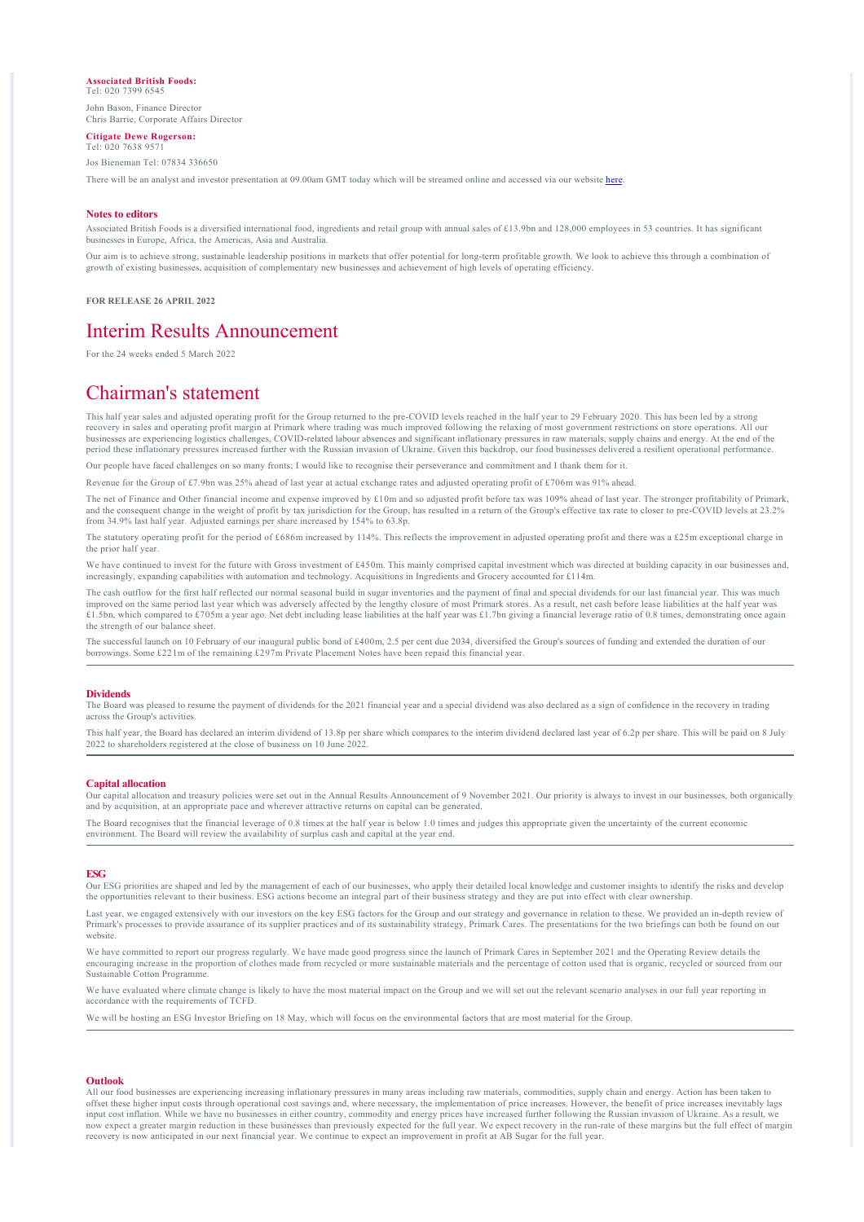#### **Associated British Foods:** Tel: 020 7399 6545

John Bason, Finance Director Chris Barrie, Corporate Affairs Director

# **Citigate Dewe Rogerson:** Tel: 020 7638 9571

Jos Bieneman Tel: 07834 336650

There will be an analyst and investor presentation at 09.00am GMT today which will be streamed online and accessed via our website [here.](https://www.abf.co.uk/investorrelations/results_and_presentations)

#### **Notes to editors**

Associated British Foods is a diversified international food, ingredients and retail group with annual sales of £13.9bn and 128,000 employees in 53 countries. It has significant businesses in Europe, Africa, the Americas, Asia and Australia.

Our aim is to achieve strong, sustainable leadership positions in markets that offer potential for long-term profitable growth. We look to achieve this through a combination of growth of existing businesses, acquisition of complementary new businesses and achievement of high levels of operating efficiency.

**FOR RELEASE 26 APRIL 2022**

# Interim Results Announcement

For the 24 weeks ended 5 March 2022

# Chairman's statement

This half year sales and adjusted operating profit for the Group returned to the pre-COVID levels reached in the half year to 29 February 2020. This has been led by a strong recovery in sales and operating profit margin at Primark where trading was much improved following the relaxing of most government restrictions on store operations. All our hypersex are experiencing logistics challenges. C es are experiencing logistics challenges, COVID-related labour absences and significant inflationary pressures in raw materials, supply chains and energy. At the end of the period these inflationary pressures increased further with the Russian invasion of Ukraine. Given this backdrop, our food businesses delivered a resilient operational performance.

Our people have faced challenges on so many fronts; I would like to recognise their perseverance and commitment and I thank them for it.

Revenue for the Group of £7.9bn was 25% ahead of last year at actual exchange rates and adjusted operating profit of £706m was 91% ahead.

The net of Finance and Other financial income and expense improved by £10m and so adjusted profit before tax was 109% ahead of last year. The stronger profitability of Primark, and the consequent change in the weight of profit by tax jurisdiction for the Group, has resulted in a return of the Group's effective tax rate to closer to pre-COVID levels at 23.2% from 34.9% last half year. Adjusted earnings per share increased by 154% to 63.8p.

The statutory operating profit for the period of £686m increased by 114%. This reflects the improvement in adjusted operating profit and there was a £25m exceptional charge in the prior half year.

We have continued to invest for the future with Gross investment of £450m. This mainly comprised capital investment which was directed at building capacity in our businesses and, increasingly, expanding capabilities with automation and technology. Acquisitions in Ingredients and Grocery accounted for £114m.

The cash outflow for the first half reflected our normal seasonal build in sugar inventories and the payment of final and special dividends for our last financial year. This was much improved on the same period last year which was adversely affected by the lengthy closure of most Primark stores. As a result, net cash before lease liabilities at the half year was<br>£1.5bn, which compared to £705m a year a the strength of our balance sheet.

The successful launch on 10 February of our inaugural public bond of £400m, 2.5 per cent due 2034, diversified the Group's sources of funding and extended the duration of our borrowings. Some £221m of the remaining £297m Private Placement Notes have been repaid this financial year.

#### **Dividends**

The Board was pleased to resume the payment of dividends for the 2021 financial year and a special dividend was also declared as a sign of confidence in the recovery in trading across the Group's activities.

This half year, the Board has declared an interim dividend of 13.8p per share which compares to the interim dividend declared last year of 6.2p per share. This will be paid on 8 July 2022 to shareholders registered at the close of business on 10 June 2022.

#### **Capital allocation**

Our capital allocation and treasury policies were set out in the Annual Results Announcement of 9 November 2021. Our priority is always to invest in our businesses, both organically and by acquisition, at an appropriate pace and wherever attractive returns on capital can be generated

The Board recognises that the financial leverage of 0.8 times at the half year is below 1.0 times and judges this appropriate given the uncertainty of the current economic environment. The Board will review the availability of surplus cash and capital at the year end.

#### **ESG**

Our ESG priorities are shaped and led by the management of each of our businesses, who apply their detailed local knowledge and customer insights to identify the risks and develop the opportunities relevant to their business. ESG actions become an integral part of their business strategy and they are put into effect with clear ownership.

Last year, we engaged extensively with our investors on the key ESG factors for the Group and our strategy and governance in relation to these. We provided an in-depth review of Primark's processes to provide assurance of its supplier practices and of its sustainability strategy, Primark Cares. The presentations for the two briefings can both be found on our website.

We have committed to report our progress regularly. We have made good progress since the launch of Primark Cares in September 2021 and the Operating Review details the encouraging increase in the proportion of clothes made from recycled or more sustainable materials and the percentage of cotton used that is organic, recycled or sourced from our Sustainable Cotton Programme.

We have evaluated where climate change is likely to have the most material impact on the Group and we will set out the relevant scenario analyses in our full year reporting in accordance with the requirements of TCFD.

We will be hosting an ESG Investor Briefing on 18 May, which will focus on the environmental factors that are most material for the Group.

#### **Outlook**

All our food businesses are experiencing increasing inflationary pressures in many areas including raw materials, commodities, supply chain and energy. Action has been taken to offset these higher input costs through operational cost savings and, where necessary, the implementation of price increases. However, the benefit of price increases inevitably lags input cost inflation. While we have no businesses in either country, commodity and energy prices have increased further following the Russian invasion of Ukraine. As a result, we<br>now expect a greater margin reduction in th recovery is now anticipated in our next financial year. We continue to expect an improvement in profit at AB Sugar for the full year.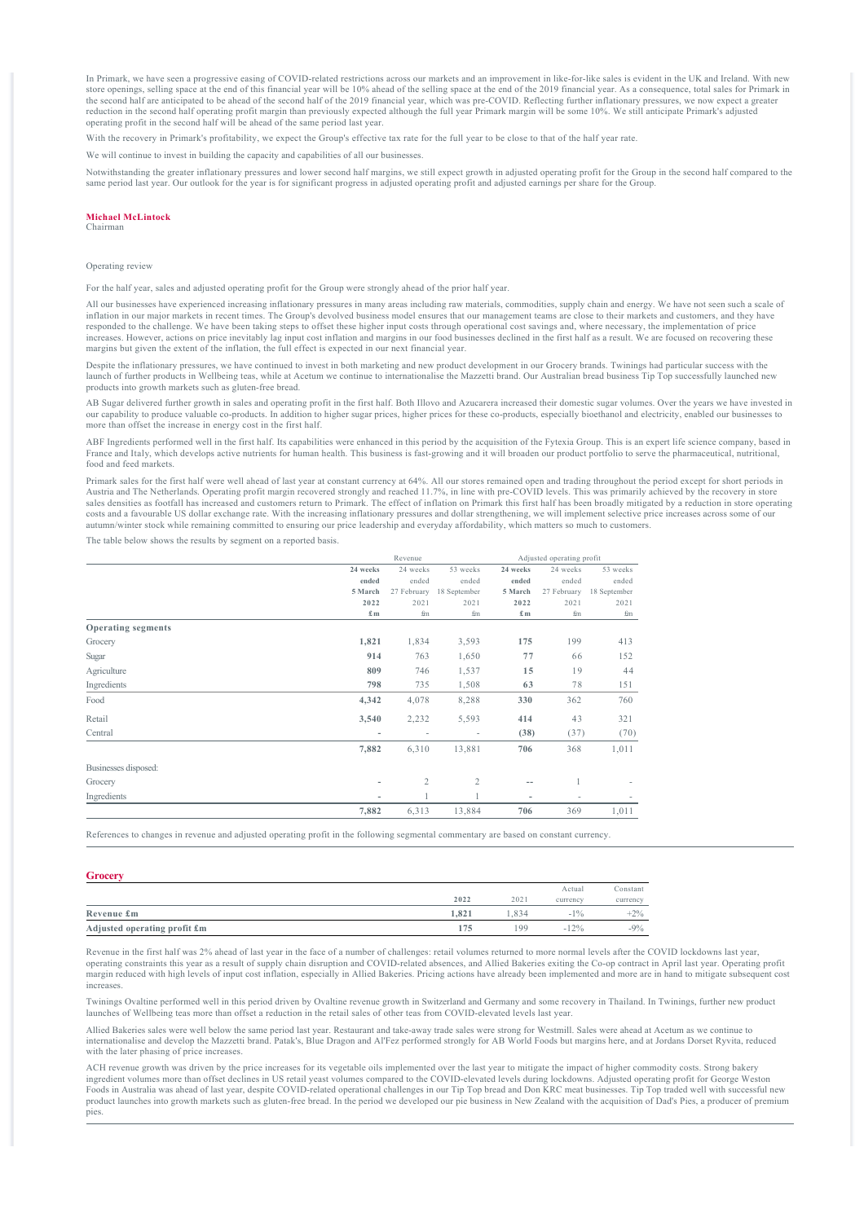In Primark, we have seen a progressive easing of COVID-related restrictions across our markets and an improvement in like-for-like sales is evident in the UK and Ireland. With new store openings, selling space at the end of this financial year will be 10% ahead of the selling space at the end of the 2019 financial year. As a consequence, total sales for Primark in the second half are anticipated to be ahead of the second half of the 2019 financial year, which was pre-COVID. Reflecting further inflationary pressures, we now expect a greater reduction in the second half operating profit margin than previously expected although the full year Primark margin will be some 10%. We still anticipate Primark's adjusted operating profit in the second half will be ahead of the same period last year.

With the recovery in Primark's profitability, we expect the Group's effective tax rate for the full year to be close to that of the half year rate.

We will continue to invest in building the capacity and capabilities of all our businesses.

Notwithstanding the greater inflationary pressures and lower second half margins, we still expect growth in adjusted operating profit for the Group in the second half compared to the same period last year. Our outlook for the year is for significant progress in adjusted operating profit and adjusted earnings per share for the Group.

#### **Michael McLintock**

Chairman

#### Operating review

For the half year, sales and adjusted operating profit for the Group were strongly ahead of the prior half year.

All our businesses have experienced increasing inflationary pressures in many areas including raw materials, commodities, supply chain and energy. We have not seen such a scale of inflation in our major markets in recent times. The Group's devolved business model ensures that our management teams are close to their markets and customers, and they have<br>responded to the challenge. We have been taking increases. However, actions on price inevitably lag input cost inflation and margins in our food businesses declined in the first half as a result. We are focused on recovering these margins but given the extent of the inflation, the full effect is expected in our next financial year.

Despite the inflationary pressures, we have continued to invest in both marketing and new product development in our Grocery brands. Twinings had particular success with the launch of further products in Wellbeing teas, while at Acetum we continue to internationalise the Mazzetti brand. Our Australian bread business Tip Top successfully launched new<br>products into growth markets such as gluten-

AB Sugar delivered further growth in sales and operating profit in the first half. Both Illovo and Azucarera increased their domestic sugar volumes. Over the years we have invested in our capability to produce valuable co-products. In addition to higher sugar prices, higher prices for these co-products, especially bioethanol and electricity, enabled our businesses to more than offset the increase in energy cost in the first half.

ABF Ingredients performed well in the first half. Its capabilities were enhanced in this period by the acquisition of the Fytexia Group. This is an expert life science company, based in<br>France and Italy, which develops act food and feed markets.

Primark sales for the first half were well ahead of last year at constant currency at 64%. All our stores remained open and trading throughout the period except for short periods in Austria and The Netherlands. Operating profit margin recovered strongly and reached 11.7%, in line with pre-COVID levels. This was primarily achieved by the recovery in store sales densities as footfall has increased and customers return to Primark. The effect of inflation on Primark this first half has been broadly mitigated by a reduction in store operating costs and a favourable US dollar exchange rate. With the increasing inflationary pressures and dollar strengthening, we will implement selective price increases across some of our autumn/winter stock while remaining committed to ensuring our price leadership and everyday affordability, which matters so much to customers.

The table below shows the results by segment on a reported basis.

| Revenue  |                |                | Adjusted operating profit |             |                    |
|----------|----------------|----------------|---------------------------|-------------|--------------------|
| 24 weeks | 24 weeks       | 53 weeks       | 24 weeks                  | 24 weeks    | 53 weeks           |
| ended    | ended          | ended          | ended                     | ended       | ended              |
| 5 March  | 27 February    | 18 September   | 5 March                   | 27 February | 18 September       |
|          | 2021           | 2021           | 2022                      | 2021        | 2021               |
|          |                |                |                           |             | fim                |
|          |                |                |                           |             |                    |
| 1,821    | 1,834          | 3,593          | 175                       | 199         | 413                |
| 914      | 763            | 1,650          | 77                        | 66          | 152                |
| 809      | 746            | 1,537          | 15                        | 19          | 44                 |
| 798      | 735            | 1,508          | 63                        | 78          | 151                |
| 4,342    | 4,078          | 8,288          | 330                       | 362         | 760                |
| 3,540    | 2,232          | 5,593          | 414                       | 43          | 321                |
| ۰        | ٠              | $\sim$         |                           |             | (70)               |
| 7,882    | 6,310          | 13,881         | 706                       | 368         | 1,011              |
|          |                |                |                           |             |                    |
| ٠        | $\overline{2}$ | $\overline{2}$ | $- -$                     |             |                    |
| ۰        |                |                | $\sim$                    | ٠           |                    |
| 7,882    | 6,313          | 13,884         | 706                       | 369         | 1,011              |
|          | 2022<br>£m     | fin            | fm                        | £m          | fm<br>(38)<br>(37) |

References to changes in revenue and adjusted operating profit in the following segmental commentary are based on constant currency.

#### **Grocery**

|                              |       |                | Actual   | Constant |
|------------------------------|-------|----------------|----------|----------|
|                              | 2022  | 2021           | currency | currency |
| Revenue £m                   | 1.821 | 834            | $1\%$    | $+2%$    |
| Adjusted operating profit £m | 175   | $\overline{Q}$ | $12\%$   | $-9\%$   |

Revenue in the first half was 2% ahead of last year in the face of a number of challenges: retail volumes returned to more normal levels after the COVID lockdowns last year, operating constraints this year as a result of supply chain disruption and COVID-related absences, and Allied Bakeries exiting the Co-op contract in April last year. Operating profit<br>margin reduced with high levels of inpu increases.

Twinings Ovaltine performed well in this period driven by Ovaltine revenue growth in Switzerland and Germany and some recovery in Thailand. In Twinings, further new product launches of Wellbeing teas more than offset a reduction in the retail sales of other teas from COVID-elevated levels last year.

Allied Bakeries sales were well below the same period last year. Restaurant and take-away trade sales were strong for Westmill. Sales were ahead at Acetum as we continue to internationalise and develop the Mazzetti brand. Patak's, Blue Dragon and Al'Fez performed strongly for AB World Foods but margins here, and at Jordans Dorset Ryvita, reduced with the later phasing of price increases.

ACH revenue growth was driven by the price increases for its vegetable oils implemented over the last year to mitigate the impact of higher commodity costs. Strong bakery ingredient volumes more than offset declines in US retail yeast volumes compared to the COVID-elevated levels during lockdowns. Adjusted operating profit for George Weston Foods in Australia was ahead of last year, despite COVID-related operational challenges in our Tip Top bread and Don KRC meat businesses. Tip Top traded well with successful new product launches into growth markets such as gluten-free bread. In the period we developed our pie business in New Zealand with the acquisition of Dad's Pies, a producer of premium pies.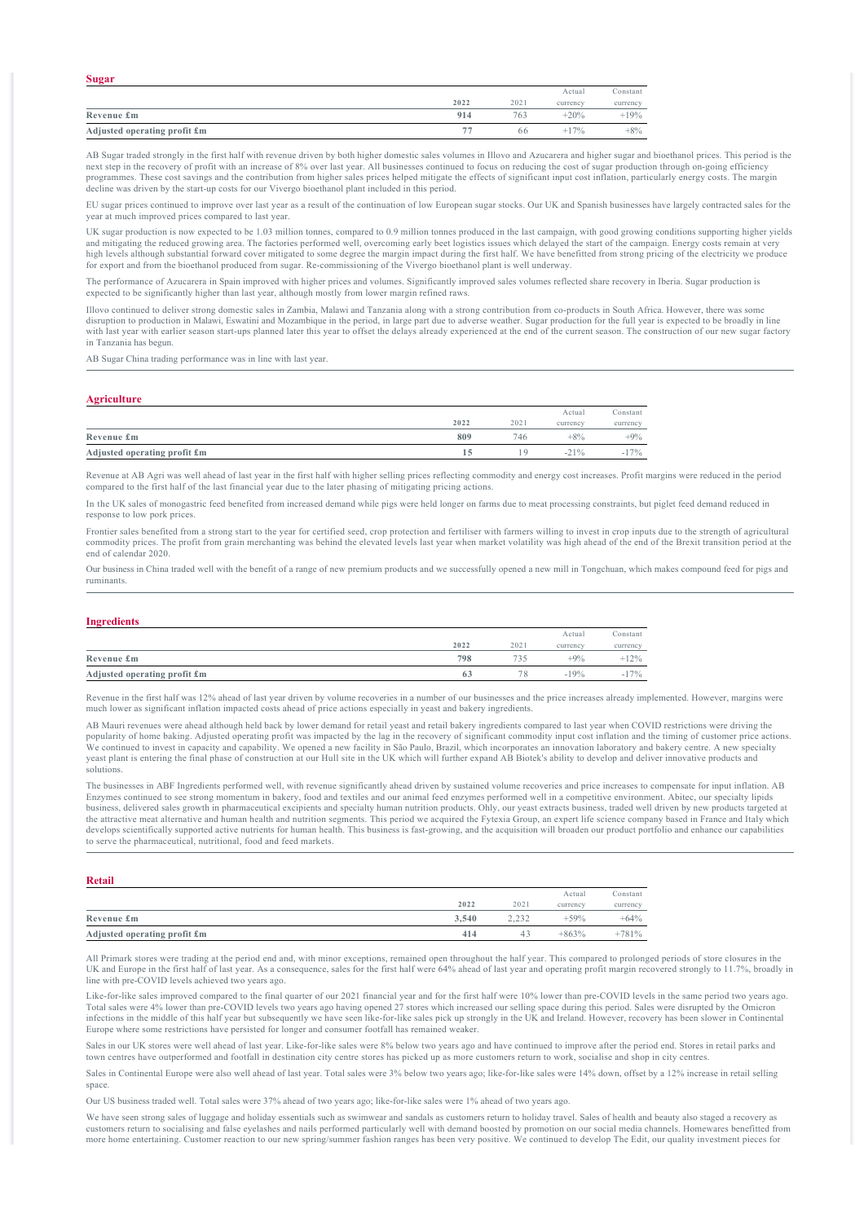| <b>Sugar</b>                 |      |      |          |          |
|------------------------------|------|------|----------|----------|
|                              |      |      | Actual   | Constant |
|                              | 2022 | 2021 | currency | currency |
| Revenue £m                   | 914  | 763  | $+20%$   | $+19%$   |
| Adjusted operating profit £m | 77   | 66   | $+17%$   | $+8%$    |

AB Sugar traded strongly in the first half with revenue driven by both higher domestic sales volumes in Illovo and Azucarera and higher sugar and bioethanol prices. This period is the next step in the recovery of profit with an increase of 8% over last year. All businesses continued to focus on reducing the cost of sugar production through on-going efficiency programmes. These cost savings and the contribution from higher sales prices helped mitigate the effects of significant input cost inflation, particularly energy costs. The margin decline was driven by the start-up costs for our Vivergo bioethanol plant included in this period.

EU sugar prices continued to improve over last year as a result of the continuation of low European sugar stocks. Our UK and Spanish businesses have largely contracted sales for the year at much improved prices compared to last year.

UK sugar production is now expected to be 1.03 million tonnes, compared to 0.9 million tonnes produced in the last campaign, with good growing conditions supporting higher yields and mitigating the reduced growing area. The factories performed well, overcoming early beet logistics issues which delayed the start of the campaign. Energy costs remain at very<br>high levels although substantial forward co for export and from the bioethanol produced from sugar. Re-commissioning of the Vivergo bioethanol plant is well underway.

The performance of Azucarera in Spain improved with higher prices and volumes. Significantly improved sales volumes reflected share recovery in Iberia. Sugar production is expected to be significantly higher than last year, although mostly from lower margin refined raws.

Illovo continued to deliver strong domestic sales in Zambia, Malawi and Tanzania along with a strong contribution from co-products in South Africa. However, there was some disruption to production in Malawi, Eswatini and Mozambique in the period, in large part due to adverse weather. Sugar production for the full year is expected to be broadly in line with last year with earlier season start-ups planned later this year to offset the delays already experienced at the end of the current season. The construction of our new sugar factory in Tanzania has begun.

AB Sugar China trading performance was in line with last year.

#### **Agriculture**

|                              |      |      | Actual   | Constant     |
|------------------------------|------|------|----------|--------------|
|                              | 2022 | 2021 | currency | currency     |
| Revenue £m                   | 809  | 746  | $+8%$    | $+9\%$       |
| Adjusted operating profit £m |      | Q    | $-21%$   | $7\%$<br>- 1 |

Revenue at AB Agri was well ahead of last year in the first half with higher selling prices reflecting commodity and energy cost increases. Profit margins were reduced in the period compared to the first half of the last financial year due to the later phasing of mitigating pricing actions.

In the UK sales of monogastric feed benefited from increased demand while pigs were held longer on farms due to meat processing constraints, but piglet feed demand reduced in response to low pork prices.

Frontier sales benefited from a strong start to the year for certified seed, crop protection and fertiliser with farmers willing to invest in crop inputs due to the strength of agricultural<br>commodity prices. The profit fro end of calendar 2020.

Our business in China traded well with the benefit of a range of new premium products and we successfully opened a new mill in Tongchuan, which makes compound feed for pigs and ruminants.

#### **Ingredients**

|                              |      |      | Actual   | Constant |
|------------------------------|------|------|----------|----------|
|                              | 2022 | 2021 | currency | currency |
| Revenue £m                   | 798  |      | $+9\%$   | $+12%$   |
| Adjusted operating profit £m | 63   | 70   | $-19%$   | 17%      |

Revenue in the first half was 12% ahead of last year driven by volume recoveries in a number of our businesses and the price increases already implemented. However, margins were much lower as significant inflation impacted costs ahead of price actions especially in yeast and bakery ingredients.

AB Mauri revenues were ahead although held back by lower demand for retail yeast and retail bakery ingredients compared to last year when COVID restrictions were driving the popularity of home baking. Adjusted operating profit was impacted by the lag in the recovery of significant commodity input cost inflation and the timing of customer price actions. We continued to invest in capacity and capability. We opened a new facility in São Paulo, Brazil, which incorporates an innovation laboratory and bakery centre. A new specialty<br>yeast plant is entering the final phase of co solutions.

The businesses in ABF Ingredients performed well, with revenue significantly ahead driven by sustained volume recoveries and price increases to compensate for input inflation. AB Enzymes continued to see strong momentum in bakery, food and textiles and our animal feed enzymes performed well in a competitive environment. Abitec, our specialty lipids business, delivered sales growth in pharmaceutical excipients and specialty human nutrition products. Ohly, our yeast extracts business, traded well driven by new products targeted at<br>the attractive meat alternative and hu develops scientifically supported active nutrients for human health. This business is fast-growing, and the acquisition will broaden our product portfolio and enhance our capabilities to serve the pharmaceutical, nutritional, food and feed markets.

#### **Retail**

|                              |       |      | Actual   | Constant |
|------------------------------|-------|------|----------|----------|
|                              | 2022  | 2021 | currency | currency |
| Revenue £m                   | 3,540 |      | $+59%$   | $+64%$   |
| Adjusted operating profit £m | 414   | 43   | $+863%$  | $+781%$  |

All Primark stores were trading at the period end and, with minor exceptions, remained open throughout the half year. This compared to prolonged periods of store closures in the UK and Europe in the first half of last year. As a consequence, sales for the first half were 64% ahead of last year and operating profit margin recovered strongly to 11.7%, broadly in line with pre-COVID levels achieved two years ago.

Like-for-like sales improved compared to the final quarter of our 2021 financial year and for the first half were 10% lower than pre-COVID levels in the same period two years ago.<br>Total sales were 4% lower than pre-COVID l infections in the middle of this half year but subsequently we have seen like-for-like sales pick up strongly in the UK and Ireland. However, recovery has been slower in Continental Europe where some restrictions have persisted for longer and consumer footfall has remained weaker.

Sales in our UK stores were well ahead of last year. Like-for-like sales were 8% below two years ago and have continued to improve after the period end. Stores in retail parks and town centres have outperformed and footfall in destination city centre stores has picked up as more customers return to work, socialise and shop in city centres.

Sales in Continental Europe were also well ahead of last year. Total sales were 3% below two years ago; like-for-like sales were 14% down, offset by a 12% increase in retail selling space.

Our US business traded well. Total sales were 37% ahead of two years ago; like-for-like sales were 1% ahead of two years ago.

We have seen strong sales of luggage and holiday essentials such as swimwear and sandals as customers return to holiday travel. Sales of health and beauty also staged a recovery as customers return to socialising and false eyelashes and nails performed particularly well with demand boosted by promotion on our social media channels. Homewares benefitted from more home entertaining. Customer reaction to our new spring/summer fashion ranges has been very positive. We continued to develop The Edit, our quality investment pieces for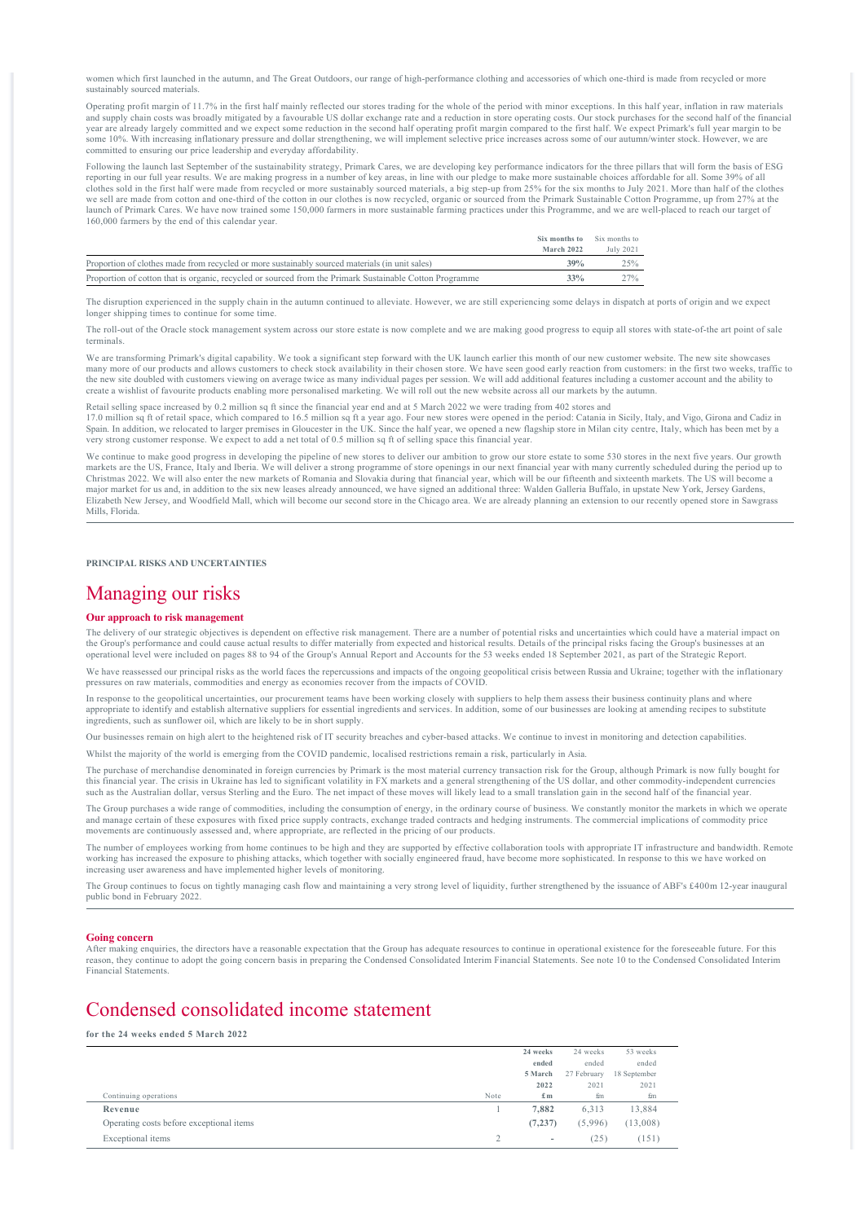women which first launched in the autumn, and The Great Outdoors, our range of high-performance clothing and accessories of which one-third is made from recycled or more sustainably sourced materials.

Operating profit margin of 11.7% in the first half mainly reflected our stores trading for the whole of the period with minor exceptions. In this half year, inflation in raw materials and supply chain costs was broadly mitigated by a favourable US dollar exchange rate and a reduction in store operating costs. Our stock purchases for the second half of the financial and supply chain costs was broadly mit year are already largely committed and we expect some reduction in the second half operating profit margin compared to the first half. We expect Primark's full year margin to be some 10%. With increasing inflationary pressure and dollar strengthening, we will implement selective price increases across some of our autumn/winter stock. However, we are committed to ensuring our price leadership and everyday affordability.

Following the launch last September of the sustainability strategy, Primark Cares, we are developing key performance indicators for the three pillars that will form the basis of ESG reporting in our full year results. We are making progress in a number of key areas, in line with our pledge to make more sustainable choices affordable for all. Some 39% of all clothes sold in the first half were made from recycled or more sustainably sourced materials, a big step-up from 25% for the six months to July 2021. More than half of the clothes we sell are made from cotton and one-third of the cotton in our clothes is now recycled, organic or sourced from the Primark Sustainable Cotton Programme, up from 27% at the launch of Primark Cares. We have now trained some 150,000 farmers in more sustainable farming practices under this Programme, and we are well-placed to reach our target of 160,000 farmers by the end of this calendar year.

|                                                                                                         |            | Six months to Six months to |  |
|---------------------------------------------------------------------------------------------------------|------------|-----------------------------|--|
|                                                                                                         | March 2022 | July 2021                   |  |
| Proportion of clothes made from recycled or more sustainably sourced materials (in unit sales)          | 39%        | 25%                         |  |
| Proportion of cotton that is organic, recycled or sourced from the Primark Sustainable Cotton Programme | 33%        | 27%                         |  |

The disruption experienced in the supply chain in the autumn continued to alleviate. However, we are still experiencing some delays in dispatch at ports of origin and we expect longer shipping times to continue for some time.

The roll-out of the Oracle stock management system across our store estate is now complete and we are making good progress to equip all stores with state-of-the art point of sale terminals.

We are transforming Primark's digital capability. We took a significant step forward with the UK launch earlier this month of our new customer website. The new site showcases many more of our products and allows customers to check stock availability in their chosen store. We have seen good early reaction from customers: in the first two weeks, traffic to<br>the new site doubled with customers view create a wishlist of favourite products enabling more personalised marketing. We will roll out the new website across all our markets by the autumn.

Retail selling space increased by 0.2 million sq ft since the financial year end and at 5 March 2022 we were trading from 402 stores and

17.0 million sq ft of retail space, which compared to 16.5 million sq ft a year ago. Four new stores were opened in the period: Catania in Sicily, Italy, and Vigo, Girona and Cadiz in<br>Spain. In addition, we relocated to la very strong customer response. We expect to add a net total of 0.5 million sq ft of selling space this financial year.

We continue to make good progress in developing the pipeline of new stores to deliver our ambition to grow our store estate to some 530 stores in the next five years. Our growth markets are the US, France, Italy and Iberia. We will deliver a strong programme of store openings in our next financial year with many currently scheduled during the period up to Christmas 2022. We will also enter the new markets of Romania and Slovakia during that financial year, which will be our fifteenth and sixteenth markets. The US will become a major market for us and, in addition to the six new leases already announced, we have signed an additional three: Walden Galleria Buffalo, in upstate New York, Jersey Gardens, Elizabeth New Jersey, and Woodfield Mall, which will become our second store in the Chicago area. We are already planning an extension to our recently opened store in Sawgrass Mills, Florida.

**PRINCIPAL RISKS AND UNCERTAINTIES**

# Managing our risks

#### **Our approach to risk management**

The delivery of our strategic objectives is dependent on effective risk management. There are a number of potential risks and uncertainties which could have a material impact on the Group's performance and could cause actual results to differ materially from expected and historical results. Details of the principal risks facing the Group's businesses at an operational level were included on pages 88 to 94 of the Group's Annual Report and Accounts for the 53 weeks ended 18 September 2021, as part of the Strategic Report.

We have reassessed our principal risks as the world faces the repercussions and impacts of the ongoing geopolitical crisis between Russia and Ukraine; together with the inflationary pressures on raw materials, commodities and energy as economies recover from the impacts of COVID.

In response to the geopolitical uncertainties, our procurement teams have been working closely with suppliers to help them assess their business continuity plans and where<br>appropriate to identify and establish alternative ingredients, such as sunflower oil, which are likely to be in short supply.

Our businesses remain on high alert to the heightened risk of IT security breaches and cyber-based attacks. We continue to invest in monitoring and detection capabilities.

Whilst the majority of the world is emerging from the COVID pandemic, localised restrictions remain a risk, particularly in Asia.

The purchase of merchandise denominated in foreign currencies by Primark is the most material currency transaction risk for the Group, although Primark is now fully bought for this financial year. The crisis in Ukraine has led to significant volatility in FX markets and a general strengthening of the US dollar, and other commodity-independent currencies such as the Australian dollar, versus Sterling and the Euro. The net impact of these moves will likely lead to a small translation gain in the second half of the financial year.

The Group purchases a wide range of commodities, including the consumption of energy, in the ordinary course of business. We constantly monitor the markets in which we operate and manage certain of these exposures with fixed price supply contracts, exchange traded contracts and hedging instruments. The commercial implications of commodity price movements are continuously assessed and, where appropriate, are reflected in the pricing of our products.

The number of employees working from home continues to be high and they are supported by effective collaboration tools with appropriate IT infrastructure and bandwidth. Remote working has increased the exposure to phishing attacks, which together with socially engineered fraud, have become more sophisticated. In response to this we have worked on increasing user awareness and have implemented higher levels of monitoring.

The Group continues to focus on tightly managing cash flow and maintaining a very strong level of liquidity further strengthened by the issuance of ABF's £400m 12-year inaugural public bond in February 2022

#### **Going concern**

After making enquiries, the directors have a reasonable expectation that the Group has adequate resources to continue in operational existence for the foreseeable future. For this reason, they continue to adopt the going concern basis in preparing the Condensed Consolidated Interim Financial Statements. See note 10 to the Condensed Consolidated Interim Financial Statements.

# Condensed consolidated income statement

|                                          |                | 24 weeks    | 24 weeks    | 53 weeks     |
|------------------------------------------|----------------|-------------|-------------|--------------|
|                                          |                | ended       | ended       | ended        |
|                                          |                | 5 March     | 27 February | 18 September |
|                                          |                | 2022        | 2021        | 2021         |
| Continuing operations                    | Note           | $\pounds$ m | fim         | fim          |
| Revenue                                  |                | 7.882       | 6,313       | 13,884       |
| Operating costs before exceptional items |                | (7, 237)    | (5,996)     | (13,008)     |
| Exceptional items                        | $\overline{2}$ | ۰           | (25)        | (151)        |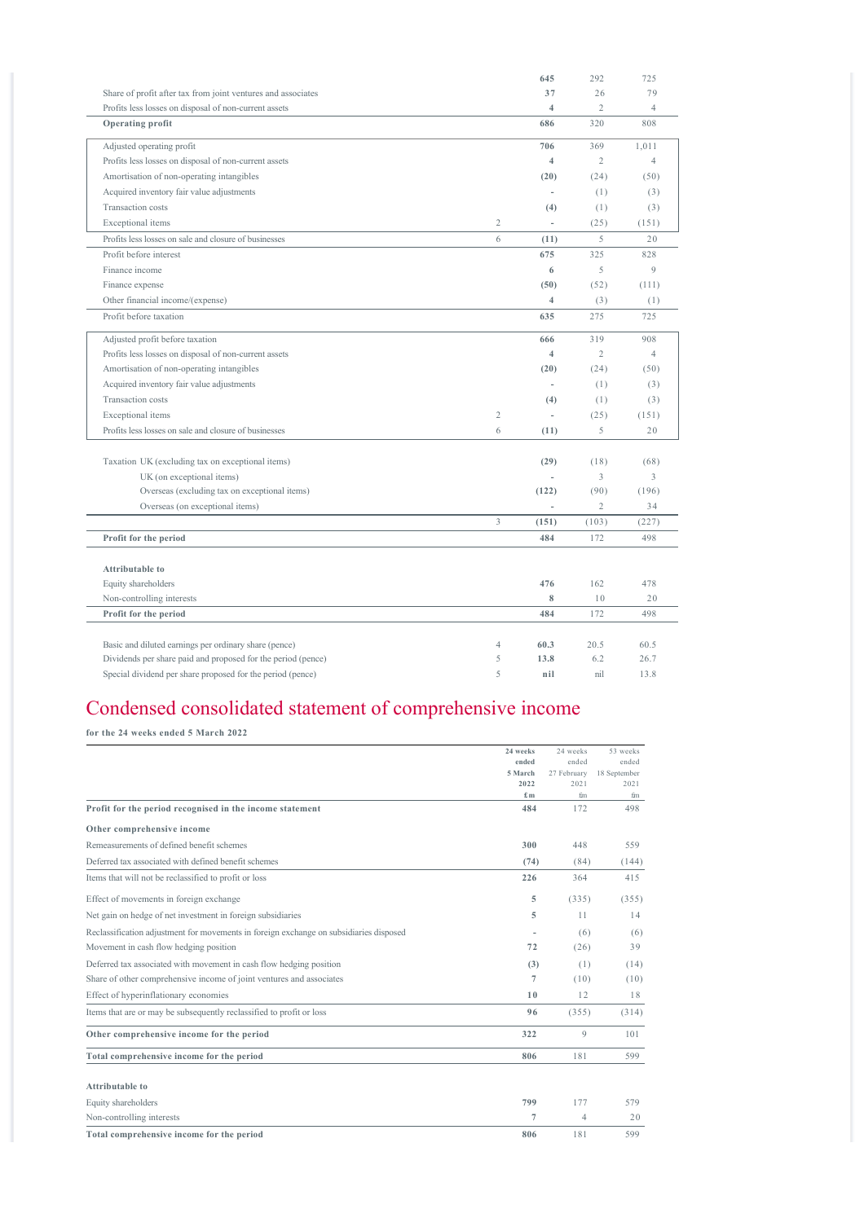|                                                              |                | 645                      | 292            | 725                      |
|--------------------------------------------------------------|----------------|--------------------------|----------------|--------------------------|
| Share of profit after tax from joint ventures and associates |                | 37                       | 26             | 79                       |
| Profits less losses on disposal of non-current assets        |                | $\overline{4}$           | $\overline{2}$ | $\overline{4}$           |
| Operating profit                                             |                | 686                      | 320            | 808                      |
| Adjusted operating profit                                    |                | 706                      | 369            | 1.011                    |
| Profits less losses on disposal of non-current assets        |                | $\overline{4}$           | $\overline{2}$ | $\overline{4}$           |
| Amortisation of non-operating intangibles                    |                | (20)                     | (24)           | (50)                     |
| Acquired inventory fair value adjustments                    |                | ä,                       | (1)            | (3)                      |
| Transaction costs                                            |                | (4)                      | (1)            | (3)                      |
| Exceptional items                                            | $\overline{c}$ | $\overline{\phantom{a}}$ | (25)           | (151)                    |
| Profits less losses on sale and closure of businesses        | 6              | (11)                     | 5              | 20                       |
| Profit before interest                                       |                | 675                      | 325            | 828                      |
| Finance income                                               |                | 6                        | 5              | $\mathbf Q$              |
| Finance expense                                              |                | (50)                     | (52)           | (111)                    |
| Other financial income/(expense)                             |                | $\overline{4}$           | (3)            | (1)                      |
| Profit before taxation                                       |                | 635                      | 275            | 725                      |
| Adjusted profit before taxation                              |                | 666                      | 319            | 908                      |
| Profits less losses on disposal of non-current assets        |                | $\overline{4}$           | $\overline{2}$ | $\overline{4}$           |
| Amortisation of non-operating intangibles                    |                | (20)                     | (24)           | (50)                     |
| Acquired inventory fair value adjustments                    |                | ä,                       | (1)            | (3)                      |
| <b>Transaction</b> costs                                     |                | (4)                      | (1)            | (3)                      |
| Exceptional items                                            | $\overline{2}$ | L.                       | (25)           | (151)                    |
| Profits less losses on sale and closure of businesses        | 6              | (11)                     | 5              | 20                       |
| Taxation UK (excluding tax on exceptional items)             |                | (29)                     | (18)           | (68)                     |
| UK (on exceptional items)                                    |                |                          | $\overline{3}$ | $\overline{\mathcal{L}}$ |
| Overseas (excluding tax on exceptional items)                |                | (122)                    | (90)           | (196)                    |
| Overseas (on exceptional items)                              |                | ÷,                       | $\mathfrak{2}$ | 34                       |
|                                                              | $\overline{3}$ | (151)                    | (103)          | (227)                    |
| Profit for the period                                        |                | 484                      | 172            | 498                      |
|                                                              |                |                          |                |                          |
| <b>Attributable to</b>                                       |                |                          |                |                          |
| Equity shareholders                                          |                | 476                      | 162            | 478                      |
| Non-controlling interests                                    |                | 8                        | 10             | 20                       |
| Profit for the period                                        |                | 484                      | 172            | 498                      |
| Basic and diluted earnings per ordinary share (pence)        | $\overline{4}$ | 60.3                     | 20.5           | 60.5                     |
| Dividends per share paid and proposed for the period (pence) | 5              | 13.8                     | 6.2            | 26.7                     |
| Special dividend per share proposed for the period (pence)   | 5              | nil                      | nil            | 13.8                     |

# Condensed consolidated statement of comprehensive income

|                                                                                        | 24 weeks<br>ended | 24 weeks    | 53 weeks     |
|----------------------------------------------------------------------------------------|-------------------|-------------|--------------|
|                                                                                        |                   | ended       | ended        |
|                                                                                        | 5 March           | 27 February | 18 September |
|                                                                                        | 2022<br>£m        | 2021<br>fm  | 2021         |
| Profit for the period recognised in the income statement                               | 484               | 172         | fin<br>498   |
| Other comprehensive income                                                             |                   |             |              |
| Remeasurements of defined benefit schemes                                              | 300               | 448         | 559          |
| Deferred tax associated with defined benefit schemes                                   | (74)              | (84)        | (144)        |
| Items that will not be reclassified to profit or loss                                  | 226               | 364         | 415          |
| Effect of movements in foreign exchange                                                | 5                 | (335)       | (355)        |
| Net gain on hedge of net investment in foreign subsidiaries                            | 5                 | 11          | 14           |
| Reclassification adjustment for movements in foreign exchange on subsidiaries disposed |                   | (6)         | (6)          |
| Movement in cash flow hedging position                                                 | 72                | (26)        | 39           |
| Deferred tax associated with movement in cash flow hedging position                    | (3)               | (1)         | (14)         |
| Share of other comprehensive income of joint ventures and associates                   | 7                 | (10)        | (10)         |
| Effect of hyperinflationary economies                                                  | 10                | 12          | 18           |
| Items that are or may be subsequently reclassified to profit or loss                   | 96                | (355)       | (314)        |
| Other comprehensive income for the period                                              | 322               | 9           | 101          |
| Total comprehensive income for the period                                              | 806               | 181         | 599          |
| Attributable to                                                                        |                   |             |              |
| Equity shareholders                                                                    | 799               | 177         | 579          |
| Non-controlling interests                                                              | 7                 | 4           | 20           |
| Total comprehensive income for the period                                              | 806               | 181         | 599          |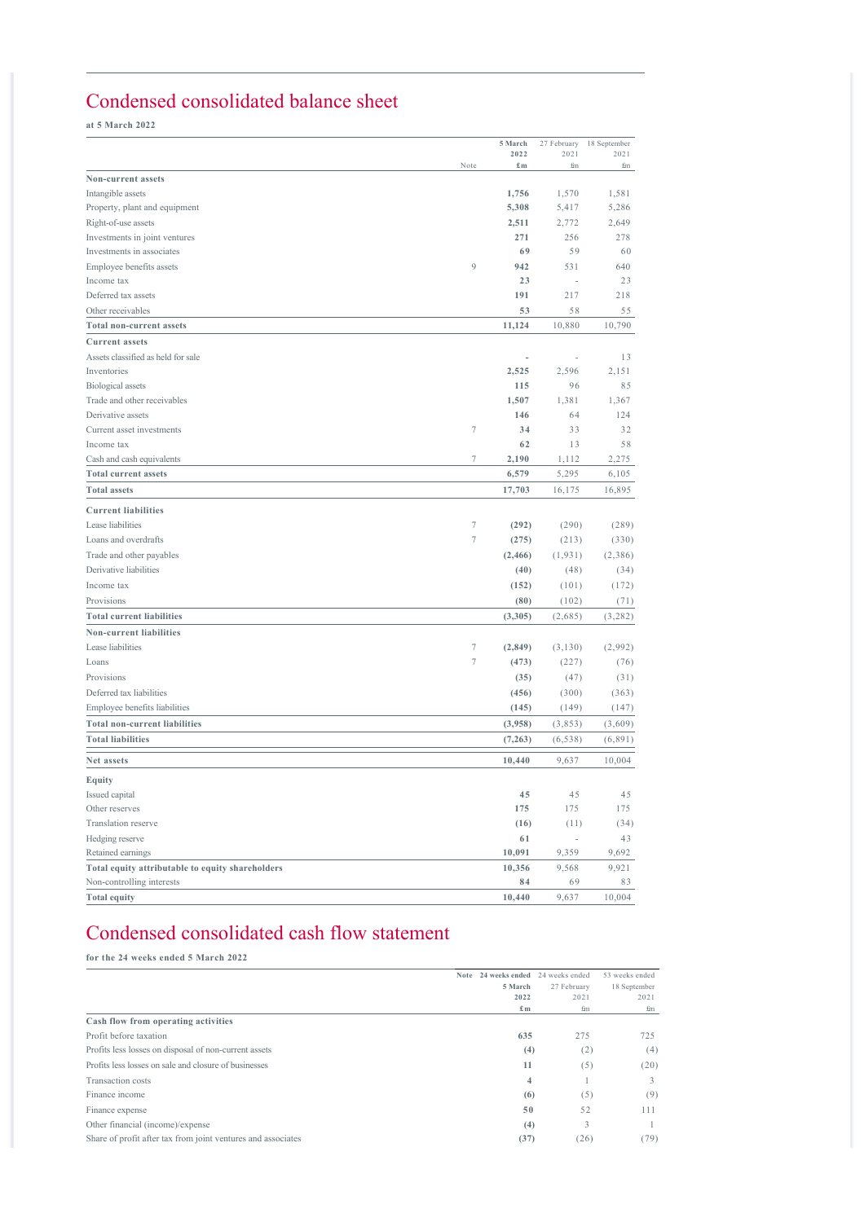# Condensed consolidated balance sheet

**at 5 March 2022**

|                                                  |        |            | 27 February | 18 September |
|--------------------------------------------------|--------|------------|-------------|--------------|
|                                                  | Note   | 2022<br>£m | 2021<br>fin | 2021<br>fm   |
| Non-current assets                               |        |            |             |              |
| Intangible assets                                |        | 1,756      | 1,570       | 1,581        |
| Property, plant and equipment                    |        | 5,308      | 5,417       | 5,286        |
| Right-of-use assets                              |        | 2,511      | 2,772       | 2,649        |
| Investments in joint ventures                    |        | 271        | 256         | 278          |
| Investments in associates                        |        | 69         | 59          | 60           |
| Employee benefits assets                         | 9      | 942        | 531         | 640          |
| Income tax                                       |        | 23         | ÷.          | 23           |
| Deferred tax assets                              |        | 191        | 217         | 218          |
| Other receivables                                |        | 53         | 58          | 55           |
| <b>Total non-current assets</b>                  |        | 11.124     | 10,880      | 10,790       |
| <b>Current</b> assets                            |        |            |             |              |
| Assets classified as held for sale               |        | i,         | ٠           | 13           |
| Inventories                                      |        | 2,525      | 2,596       | 2,151        |
| <b>Biological</b> assets                         |        | 115        | 96          | 85           |
| Trade and other receivables                      |        | 1,507      | 1,381       | 1,367        |
| Derivative assets                                |        | 146        | 64          | 124          |
| Current asset investments                        | $\tau$ | 34         | 33          | 32           |
| Income tax                                       |        | 62         | 13          | 58           |
| Cash and cash equivalents                        | 7      | 2,190      | 1,112       | 2,275        |
| <b>Total current assets</b>                      |        | 6,579      | 5,295       | 6,105        |
| <b>Total assets</b>                              |        | 17,703     | 16,175      | 16,895       |
| <b>Current liabilities</b>                       |        |            |             |              |
| Lease liabilities                                | $\tau$ | (292)      | (290)       | (289)        |
| Loans and overdrafts                             | 7      | (275)      | (213)       | (330)        |
| Trade and other payables                         |        | (2, 466)   | (1, 931)    | (2,386)      |
| Derivative liabilities                           |        | (40)       | (48)        | (34)         |
| Income tax                                       |        | (152)      | (101)       | (172)        |
| Provisions                                       |        | (80)       | (102)       | (71)         |
| <b>Total current liabilities</b>                 |        | (3,305)    | (2,685)     | (3,282)      |
| <b>Non-current liabilities</b>                   |        |            |             |              |
| Lease liabilities                                | $\tau$ | (2, 849)   | (3, 130)    | (2,992)      |
| Loans                                            | 7      | (473)      | (227)       | (76)         |
| Provisions                                       |        | (35)       | (47)        | (31)         |
| Deferred tax liabilities                         |        | (456)      | (300)       | (363)        |
| Employee benefits liabilities                    |        | (145)      | (149)       | (147)        |
| <b>Total non-current liabilities</b>             |        | (3,958)    | (3,853)     | (3,609)      |
| <b>Total liabilities</b>                         |        | (7, 263)   | (6, 538)    | (6, 891)     |
| Net assets                                       |        | 10,440     | 9,637       | 10,004       |
| Equity                                           |        |            |             |              |
| Issued capital                                   |        | 45         | 45          | 45           |
| Other reserves                                   |        | 175        | 175         | 175          |
| Translation reserve                              |        | (16)       | (11)        | (34)         |
| Hedging reserve                                  |        | 61         | ÷           | 43           |
| Retained earnings                                |        | 10,091     | 9,359       | 9,692        |
| Total equity attributable to equity shareholders |        | 10,356     | 9,568       | 9,921        |
| Non-controlling interests                        |        | 84         | 69          | 83           |
| <b>Total equity</b>                              |        | 10,440     | 9,637       | 10,004       |
|                                                  |        |            |             |              |

# Condensed consolidated cash flow statement

|                                                              | Note 24 weeks ended | 24 weeks ended | 53 weeks ended |
|--------------------------------------------------------------|---------------------|----------------|----------------|
|                                                              | 5 March             | 27 February    | 18 September   |
|                                                              | 2022                | 2021           | 2021           |
|                                                              | $\pounds$ m         | fm             | fm             |
| Cash flow from operating activities                          |                     |                |                |
| Profit before taxation                                       | 635                 | 275            | 725            |
| Profits less losses on disposal of non-current assets        | (4)                 | (2)            | (4)            |
| Profits less losses on sale and closure of businesses        | 11                  | (5)            | (20)           |
| <b>Transaction</b> costs                                     | 4                   |                | 3              |
| Finance income                                               | (6)                 | (5)            | (9)            |
| Finance expense                                              | 50                  | 52             | 111            |
| Other financial (income)/expense                             | (4)                 | 3              |                |
| Share of profit after tax from joint ventures and associates | (37)                | (26)           | (79)           |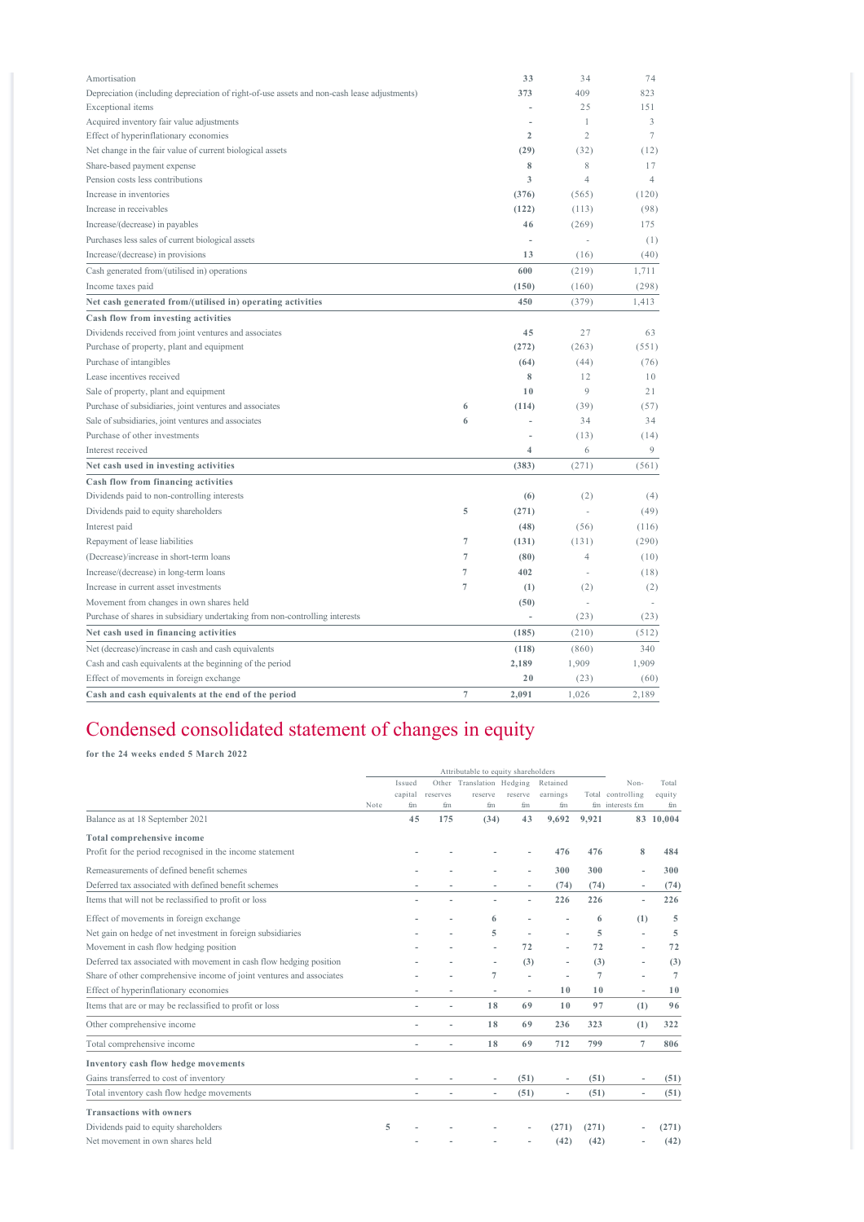| Amortisation                                                                                |                | 33             | 34             | 74             |
|---------------------------------------------------------------------------------------------|----------------|----------------|----------------|----------------|
| Depreciation (including depreciation of right-of-use assets and non-cash lease adjustments) |                | 373            | 409            | 823            |
| Exceptional items                                                                           |                |                | 25             | 151            |
| Acquired inventory fair value adjustments                                                   |                |                | $\mathbf{1}$   | 3              |
| Effect of hyperinflationary economies                                                       |                | $\overline{2}$ | $\overline{c}$ | $\overline{7}$ |
| Net change in the fair value of current biological assets                                   |                | (29)           | (32)           | (12)           |
| Share-based payment expense                                                                 |                | 8              | 8              | 17             |
| Pension costs less contributions                                                            |                | 3              | $\overline{4}$ | $\overline{4}$ |
| Increase in inventories                                                                     |                | (376)          | (565)          | (120)          |
| Increase in receivables                                                                     |                | (122)          | (113)          | (98)           |
| Increase/(decrease) in payables                                                             |                | 46             | (269)          | 175            |
| Purchases less sales of current biological assets                                           |                |                |                | (1)            |
| Increase/(decrease) in provisions                                                           |                | 13             | (16)           | (40)           |
| Cash generated from/(utilised in) operations                                                |                | 600            | (219)          | 1,711          |
| Income taxes paid                                                                           |                | (150)          | (160)          | (298)          |
| Net cash generated from/(utilised in) operating activities                                  |                | 450            | (379)          | 1,413          |
| Cash flow from investing activities                                                         |                |                |                |                |
| Dividends received from joint ventures and associates                                       |                | 45             | 27             | 63             |
| Purchase of property, plant and equipment                                                   |                | (272)          | (263)          | (551)          |
| Purchase of intangibles                                                                     |                | (64)           | (44)           | (76)           |
| Lease incentives received                                                                   |                | 8              | 12             | 10             |
| Sale of property, plant and equipment                                                       |                | 10             | 9              | 21             |
| Purchase of subsidiaries, joint ventures and associates                                     | 6              | (114)          | (39)           | (57)           |
| Sale of subsidiaries, joint ventures and associates                                         | 6              |                | 34             | 34             |
| Purchase of other investments                                                               |                |                | (13)           | (14)           |
| Interest received                                                                           |                | 4              | 6              | 9              |
| Net cash used in investing activities                                                       |                | (383)          | (271)          | (561)          |
| Cash flow from financing activities                                                         |                |                |                |                |
| Dividends paid to non-controlling interests                                                 |                | (6)            | (2)            | (4)            |
| Dividends paid to equity shareholders                                                       | 5              | (271)          | ÷              | (49)           |
| Interest paid                                                                               |                | (48)           | (56)           | (116)          |
| Repayment of lease liabilities                                                              | $\overline{7}$ | (131)          | (131)          | (290)          |
| (Decrease)/increase in short-term loans                                                     | $\overline{7}$ | (80)           | $\overline{4}$ | (10)           |
| Increase/(decrease) in long-term loans                                                      | $\overline{7}$ | 402            |                | (18)           |
| Increase in current asset investments                                                       | $\overline{7}$ | (1)            | (2)            | (2)            |
| Movement from changes in own shares held                                                    |                | (50)           | J.             |                |
| Purchase of shares in subsidiary undertaking from non-controlling interests                 |                | $\sim$         | (23)           | (23)           |
| Net cash used in financing activities                                                       |                | (185)          | (210)          | (512)          |
| Net (decrease)/increase in cash and cash equivalents                                        |                | (118)          | (860)          | 340            |
| Cash and cash equivalents at the beginning of the period                                    |                | 2,189          | 1,909          | 1,909          |
| Effect of movements in foreign exchange                                                     |                | 20             | (23)           | (60)           |
| Cash and cash equivalents at the end of the period                                          | $\overline{7}$ | 2,091          | 1,026          | 2,189          |

# Condensed consolidated statement of changes in equity

|                                                                      |      | Attributable to equity shareholders |                          |                           |           |                          |       |                          |                  |
|----------------------------------------------------------------------|------|-------------------------------------|--------------------------|---------------------------|-----------|--------------------------|-------|--------------------------|------------------|
|                                                                      |      | Issued                              |                          | Other Translation Hedging |           | Retained                 |       | Non-                     | Total            |
|                                                                      |      | capital                             | reserves                 | reserve                   | reserve   | earnings                 |       | Total controlling        | equity           |
| Balance as at 18 September 2021                                      | Note | fin<br>45                           | fin<br>175               | fin<br>(34)               | fin<br>43 | fin<br>9.692             | 9.921 | fm interests fm          | fin<br>83 10,004 |
|                                                                      |      |                                     |                          |                           |           |                          |       |                          |                  |
| Total comprehensive income                                           |      |                                     |                          |                           |           |                          |       |                          |                  |
| Profit for the period recognised in the income statement             |      |                                     |                          |                           |           | 476                      | 476   | 8                        | 484              |
| Remeasurements of defined benefit schemes                            |      |                                     |                          |                           |           | 300                      | 300   | $\sim$                   | 300              |
| Deferred tax associated with defined benefit schemes                 |      |                                     |                          |                           |           | (74)                     | (74)  |                          | (74)             |
| Items that will not be reclassified to profit or loss                |      |                                     |                          |                           |           | 226                      | 226   | $\sim$                   | 226              |
| Effect of movements in foreign exchange                              |      |                                     |                          | 6                         |           |                          | 6     | (1)                      | 5                |
| Net gain on hedge of net investment in foreign subsidiaries          |      |                                     |                          | 5                         |           |                          | 5     |                          | 5                |
| Movement in cash flow hedging position                               |      |                                     |                          |                           | 72        |                          | 72    |                          | 72               |
| Deferred tax associated with movement in cash flow hedging position  |      |                                     |                          | $\overline{a}$            | (3)       | $\sim$                   | (3)   |                          | (3)              |
| Share of other comprehensive income of joint ventures and associates |      |                                     |                          | 7                         |           |                          | 7     |                          | $\overline{7}$   |
| Effect of hyperinflationary economies                                |      | ٠                                   |                          |                           |           | 10                       | 10    | $\overline{\phantom{a}}$ | 10               |
| Items that are or may be reclassified to profit or loss              |      |                                     |                          | 18                        | 69        | 10                       | 97    | (1)                      | 96               |
| Other comprehensive income                                           |      | ٠                                   | $\overline{a}$           | 18                        | 69        | 236                      | 323   | (1)                      | 322              |
| Total comprehensive income                                           |      | $\overline{a}$                      | $\overline{\phantom{0}}$ | 18                        | 69        | 712                      | 799   | $\overline{7}$           | 806              |
| Inventory cash flow hedge movements                                  |      |                                     |                          |                           |           |                          |       |                          |                  |
| Gains transferred to cost of inventory                               |      |                                     |                          |                           | (51)      | $\overline{\phantom{a}}$ | (51)  |                          | (51)             |
| Total inventory cash flow hedge movements                            |      |                                     |                          |                           | (51)      | $\overline{\phantom{a}}$ | (51)  |                          | (51)             |
| <b>Transactions with owners</b>                                      |      |                                     |                          |                           |           |                          |       |                          |                  |
| Dividends paid to equity shareholders                                |      | 5                                   |                          |                           |           | (271)                    | (271) |                          | (271)            |
| Net movement in own shares held                                      |      |                                     |                          |                           |           | (42)                     | (42)  |                          | (42)             |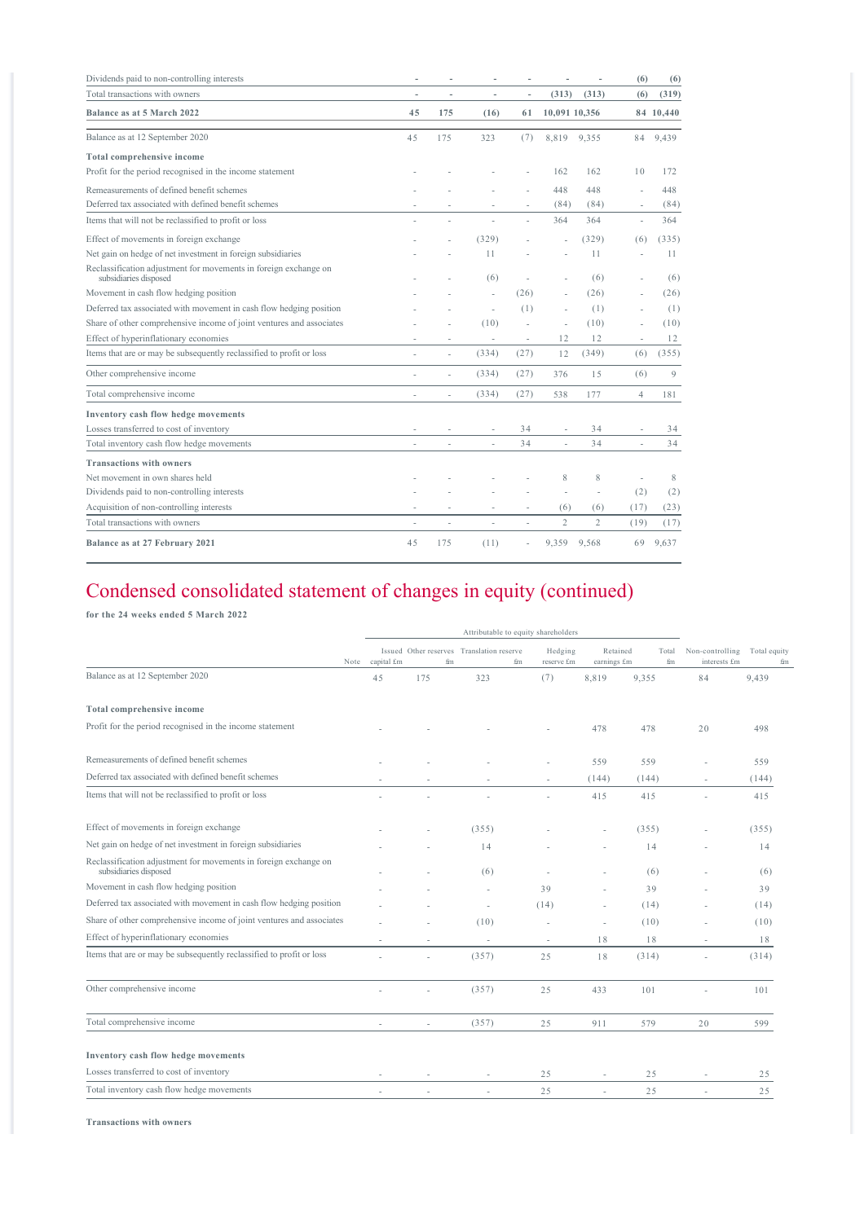| Dividends paid to non-controlling interests                                               |    |     |       |      |                |                | (6)            | (6)       |
|-------------------------------------------------------------------------------------------|----|-----|-------|------|----------------|----------------|----------------|-----------|
| Total transactions with owners                                                            | ÷, | L,  | L,    | L,   | (313)          | (313)          | (6)            | (319)     |
| Balance as at 5 March 2022                                                                | 45 | 175 | (16)  | 61   | 10,091 10,356  |                |                | 84 10,440 |
| Balance as at 12 September 2020                                                           | 45 | 175 | 323   | (7)  | 8,819          | 9,355          | 84             | 9,439     |
| Total comprehensive income                                                                |    |     |       |      |                |                |                |           |
| Profit for the period recognised in the income statement                                  |    |     |       |      | 162            | 162            | 10             | 172       |
| Remeasurements of defined benefit schemes                                                 |    |     |       |      | 448            | 448            |                | 448       |
| Deferred tax associated with defined benefit schemes                                      |    |     |       |      | (84)           | (84)           | ä,             | (84)      |
| Items that will not be reclassified to profit or loss                                     |    |     | ä,    | ÷.   | 364            | 364            | ×.             | 364       |
| Effect of movements in foreign exchange                                                   |    |     | (329) |      |                | (329)          | (6)            | (335)     |
| Net gain on hedge of net investment in foreign subsidiaries                               |    |     | 11    |      |                | 11             |                | 11        |
| Reclassification adjustment for movements in foreign exchange on<br>subsidiaries disposed |    |     | (6)   |      |                | (6)            |                | (6)       |
| Movement in cash flow hedging position                                                    |    |     |       | (26) |                | (26)           |                | (26)      |
| Deferred tax associated with movement in cash flow hedging position                       |    |     |       | (1)  |                | (1)            |                | (1)       |
| Share of other comprehensive income of joint ventures and associates                      |    |     | (10)  |      | ä,             | (10)           |                | (10)      |
| Effect of hyperinflationary economies                                                     |    |     |       |      | 12             | 12             |                | 12        |
| Items that are or may be subsequently reclassified to profit or loss                      |    | ä,  | (334) | (27) | 12             | (349)          | (6)            | (355)     |
| Other comprehensive income                                                                | ä, | ä,  | (334) | (27) | 376            | 15             | (6)            | 9         |
| Total comprehensive income                                                                | ä, |     | (334) | (27) | 538            | 177            | $\overline{4}$ | 181       |
| Inventory cash flow hedge movements                                                       |    |     |       |      |                |                |                |           |
| Losses transferred to cost of inventory                                                   |    |     |       | 34   |                | 34             |                | 34        |
| Total inventory cash flow hedge movements                                                 |    | ٠   | ä,    | 34   | ä,             | 34             | ä,             | 34        |
| <b>Transactions with owners</b>                                                           |    |     |       |      |                |                |                |           |
| Net movement in own shares held                                                           |    |     |       |      | 8              | 8              |                | 8         |
| Dividends paid to non-controlling interests                                               |    |     |       |      |                |                | (2)            | (2)       |
| Acquisition of non-controlling interests                                                  | J. |     | i.    |      | (6)            | (6)            | (17)           | (23)      |
| Total transactions with owners                                                            | i. | ä,  | ä,    | ÷.   | $\overline{2}$ | $\overline{c}$ | (19)           | (17)      |
| Balance as at 27 February 2021                                                            | 45 | 175 | (11)  |      | 9,359          | 9,568          | 69             | 9,637     |

# Condensed consolidated statement of changes in equity (continued)

**for the 24 weeks ended 5 March 2022**

| Note                                                                                      | capital £m | fm                       | Issued Other reserves Translation reserve<br>fm | Hedging<br>reserve £m    | Retained<br>earnings £m | Total<br>fm | Non-controlling<br>interests £m | Total equity<br>fin |
|-------------------------------------------------------------------------------------------|------------|--------------------------|-------------------------------------------------|--------------------------|-------------------------|-------------|---------------------------------|---------------------|
| Balance as at 12 September 2020                                                           | 45         | 175                      | 323                                             | (7)                      | 8.819                   | 9,355       | 84                              | 9.439               |
| Total comprehensive income                                                                |            |                          |                                                 |                          |                         |             |                                 |                     |
| Profit for the period recognised in the income statement                                  |            |                          |                                                 |                          | 478                     | 478         | 20                              | 498                 |
| Remeasurements of defined benefit schemes                                                 |            |                          |                                                 |                          | 559                     | 559         |                                 | 559                 |
| Deferred tax associated with defined benefit schemes                                      | ٠          |                          |                                                 | ٠                        | (144)                   | (144)       | ×.                              | (144)               |
| Items that will not be reclassified to profit or loss                                     |            |                          |                                                 |                          | 415                     | 415         |                                 | 415                 |
| Effect of movements in foreign exchange                                                   |            |                          | (355)                                           |                          |                         | (355)       |                                 | (355)               |
| Net gain on hedge of net investment in foreign subsidiaries                               |            |                          | 14                                              |                          |                         | 14          |                                 | 14                  |
| Reclassification adjustment for movements in foreign exchange on<br>subsidiaries disposed |            |                          | (6)                                             |                          |                         | (6)         |                                 | (6)                 |
| Movement in cash flow hedging position                                                    |            |                          | ×.                                              | 39                       |                         | 39          |                                 | 39                  |
| Deferred tax associated with movement in cash flow hedging position                       |            |                          |                                                 | (14)                     |                         | (14)        |                                 | (14)                |
| Share of other comprehensive income of joint ventures and associates                      |            |                          | (10)                                            |                          |                         | (10)        |                                 | (10)                |
| Effect of hyperinflationary economies                                                     |            |                          | ٠                                               | $\overline{\phantom{a}}$ | 18                      | 18          | ÷.                              | 18                  |
| Items that are or may be subsequently reclassified to profit or loss                      |            |                          | (357)                                           | 25                       | 18                      | (314)       | ٠                               | (314)               |
| Other comprehensive income                                                                |            | ×,                       | (357)                                           | 25                       | 433                     | 101         |                                 | 101                 |
| Total comprehensive income                                                                | ٠          | $\overline{\phantom{a}}$ | (357)                                           | 25                       | 911                     | 579         | 20                              | 599                 |
| Inventory cash flow hedge movements                                                       |            |                          |                                                 |                          |                         |             |                                 |                     |
| Losses transferred to cost of inventory                                                   |            |                          |                                                 | 25                       |                         | 25          | $\sim$                          | 25                  |
| Total inventory cash flow hedge movements                                                 | ٠          | $\sim$                   | ×.                                              | 25                       | à,                      | 25          | $\sim$                          | 25                  |
|                                                                                           |            |                          |                                                 |                          |                         |             |                                 |                     |

**Transactions with owners**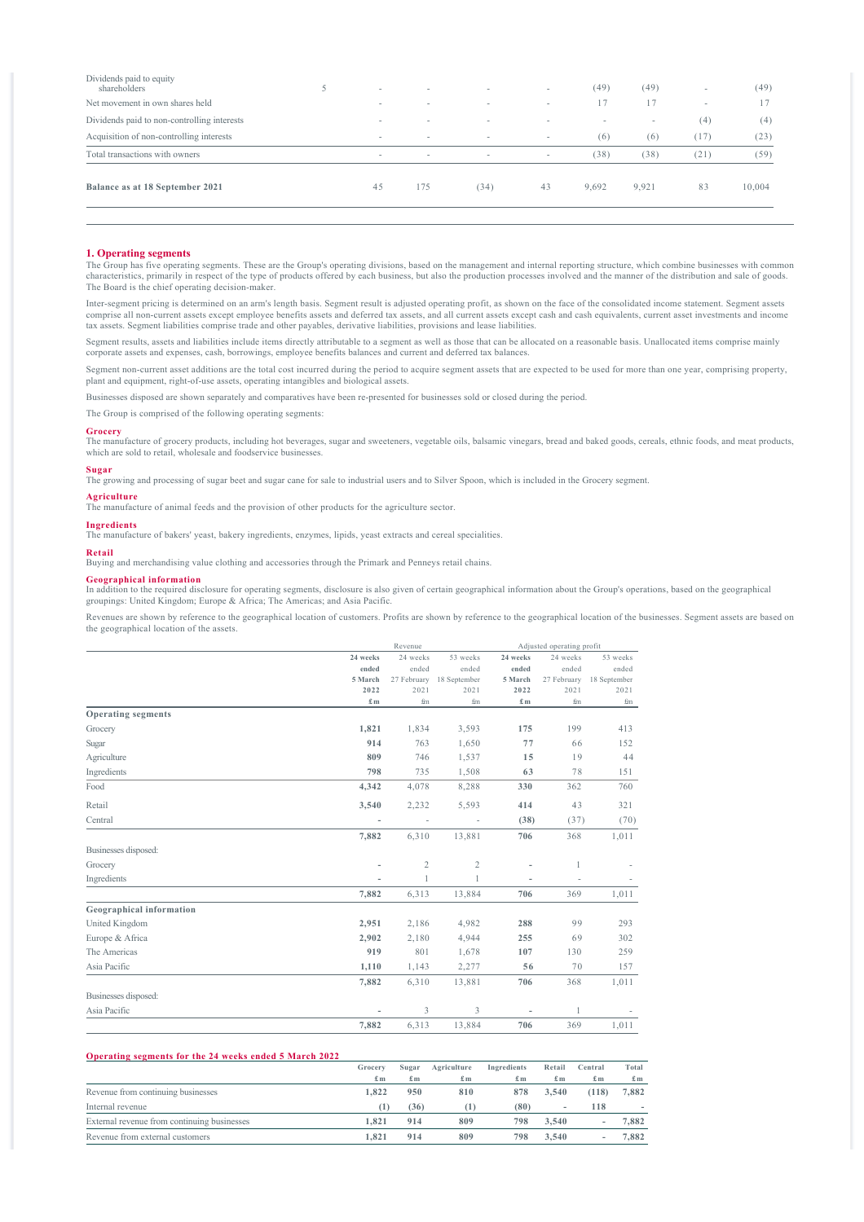| Dividends paid to equity<br>shareholders    | . .                      |        |        | $\sim$ | (49)   | (49)  | ٠    | (49)   |
|---------------------------------------------|--------------------------|--------|--------|--------|--------|-------|------|--------|
| Net movement in own shares held             | . .                      |        |        | $\sim$ |        |       | ٠    |        |
| Dividends paid to non-controlling interests | ۰.                       | $\sim$ | $\sim$ | $\sim$ | $\sim$ |       | (4)  | (4)    |
| Acquisition of non-controlling interests    | $\overline{\phantom{a}}$ | $\sim$ |        | ٠      | (6)    | (6)   | (17) | (23)   |
| Total transactions with owners              | ٠.                       | $\sim$ | $\sim$ | $\sim$ | (38)   | (38)  | (21) | (59)   |
| Balance as at 18 September 2021             | 45                       | 175    | (34)   | 43     | 9,692  | 9,921 | 83   | 10,004 |

#### **1. Operating segments**

The Group has five operating segments. These are the Group's operating divisions, based on the management and internal reporting structure, which combine businesses with common The Group has five operating segments. These characteristics, primarily in respect of the type of products offered by each business, but also the production processes involved and the manner of the distribution and sale of goods. The Board is the chief operating decision-maker.

Inter-segment pricing is determined on an arm's length basis. Segment result is adjusted operating profit, as shown on the face of the consolidated income statement. Segment assets<br>comprise all non-current assets except em tax assets. Segment liabilities comprise trade and other payables, derivative liabilities, provisions and lease liabilities.

Segment results, assets and liabilities include items directly attributable to a segment as well as those that can be allocated on a reasonable basis. Unallocated items comprise mainly corporate assets and expenses, cash, borrowings, employee benefits balances and current and deferred tax balances.

Segment non-current asset additions are the total cost incurred during the period to acquire segment assets that are expected to be used for more than one year, comprising property, plant and equipment, right-of-use assets, operating intangibles and biological assets.

Businesses disposed are shown separately and comparatives have been re-presented for businesses sold or closed during the period.

The Group is comprised of the following operating segments:

#### **Grocery**

The manufacture of grocery products, including hot beverages, sugar and sweeteners, vegetable oils, balsamic vinegars, bread and baked goods, cereals, ethnic foods, and meat products, which are sold to retail, wholesale and foodservice businesses.

#### **Sugar**

The growing and processing of sugar beet and sugar cane for sale to industrial users and to Silver Spoon, which is included in the Grocery segment.

**Agriculture** The manufacture of animal feeds and the provision of other products for the agriculture sector.

### **Ingredients**

The manufacture of bakers' yeast, bakery ingredients, enzymes, lipids, yeast extracts and cereal specialities.

#### **Retail**

Buying and merchandising value clothing and accessories through the Primark and Penneys retail chains.

#### **Geographical information**

In addition to the required disclosure for operating segments, disclosure is also given of certain geographical information about the Group's operations, based on the geographical groupings: United Kingdom; Europe & Africa; The Americas; and Asia Pacific.

Revenues are shown by reference to the geographical location of customers. Profits are shown by reference to the geographical location of the businesses. Segment assets are based on the geographical location of the assets.

|                           |                          | Revenue        |                          |            | Adjusted operating profit |              |
|---------------------------|--------------------------|----------------|--------------------------|------------|---------------------------|--------------|
|                           | 24 weeks                 | 24 weeks       | 53 weeks                 | 24 weeks   | 24 weeks                  | 53 weeks     |
|                           | ended                    | ended          | ended                    | ended      | ended                     | ended        |
|                           | 5 March                  | 27 February    | 18 September             | 5 March    | 27 February               | 18 September |
|                           | 2022<br>£m               | 2021<br>fm     | 2021<br>fin              | 2022<br>£m | 2021<br>fm                | 2021<br>fin  |
| <b>Operating segments</b> |                          |                |                          |            |                           |              |
| Grocery                   | 1,821                    | 1,834          | 3,593                    | 175        | 199                       | 413          |
| Sugar                     | 914                      | 763            | 1,650                    | 77         | 66                        | 152          |
| Agriculture               | 809                      | 746            | 1,537                    | 15         | 19                        | 44           |
| Ingredients               | 798                      | 735            | 1,508                    | 63         | 78                        | 151          |
| Food                      | 4,342                    | 4,078          | 8,288                    | 330        | 362                       | 760          |
| Retail                    | 3,540                    | 2,232          | 5,593                    | 414        | 43                        | 321          |
| Central                   | $\overline{\phantom{a}}$ |                | $\overline{\phantom{a}}$ | (38)       | (37)                      | (70)         |
|                           | 7,882                    | 6,310          | 13,881                   | 706        | 368                       | 1,011        |
| Businesses disposed:      |                          |                |                          |            |                           |              |
| Grocery                   | ٠                        | $\overline{c}$ | $\overline{2}$           |            | 1                         |              |
| Ingredients               |                          |                | 1                        |            |                           |              |
|                           | 7,882                    | 6,313          | 13,884                   | 706        | 369                       | 1,011        |
| Geographical information  |                          |                |                          |            |                           |              |
| United Kingdom            | 2,951                    | 2,186          | 4,982                    | 288        | 99                        | 293          |
| Europe & Africa           | 2,902                    | 2,180          | 4,944                    | 255        | 69                        | 302          |
| The Americas              | 919                      | 801            | 1,678                    | 107        | 130                       | 259          |
| Asia Pacific              | 1,110                    | 1,143          | 2,277                    | 56         | 70                        | 157          |
|                           | 7,882                    | 6,310          | 13,881                   | 706        | 368                       | 1,011        |
| Businesses disposed:      |                          |                |                          |            |                           |              |
| Asia Pacific              |                          | 3              | 3                        |            | $\mathbf{1}$              |              |
|                           | 7,882                    | 6,313          | 13,884                   | 706        | 369                       | 1,011        |

#### **Operating segments for the 24 weeks ended 5 March 2022**

|                                             | Grocery | Sugar | Agriculture | Ingredients | Retail | Central | Total       |
|---------------------------------------------|---------|-------|-------------|-------------|--------|---------|-------------|
|                                             | £m      | £m    | £m          | £m          | £m     | £m      | $\pounds$ m |
| Revenue from continuing businesses          | 1.822   | 950   | 810         | 878         | 3.540  | (118)   | 7,882       |
| Internal revenue                            |         | (36)  |             | (80)        | -      | 118     |             |
| External revenue from continuing businesses | 1.821   | 914   | 809         | 798         | 3.540  |         | 7.882       |
| Revenue from external customers             | 1.821   | 914   | 809         | 798         | 3.540  |         | 7.882       |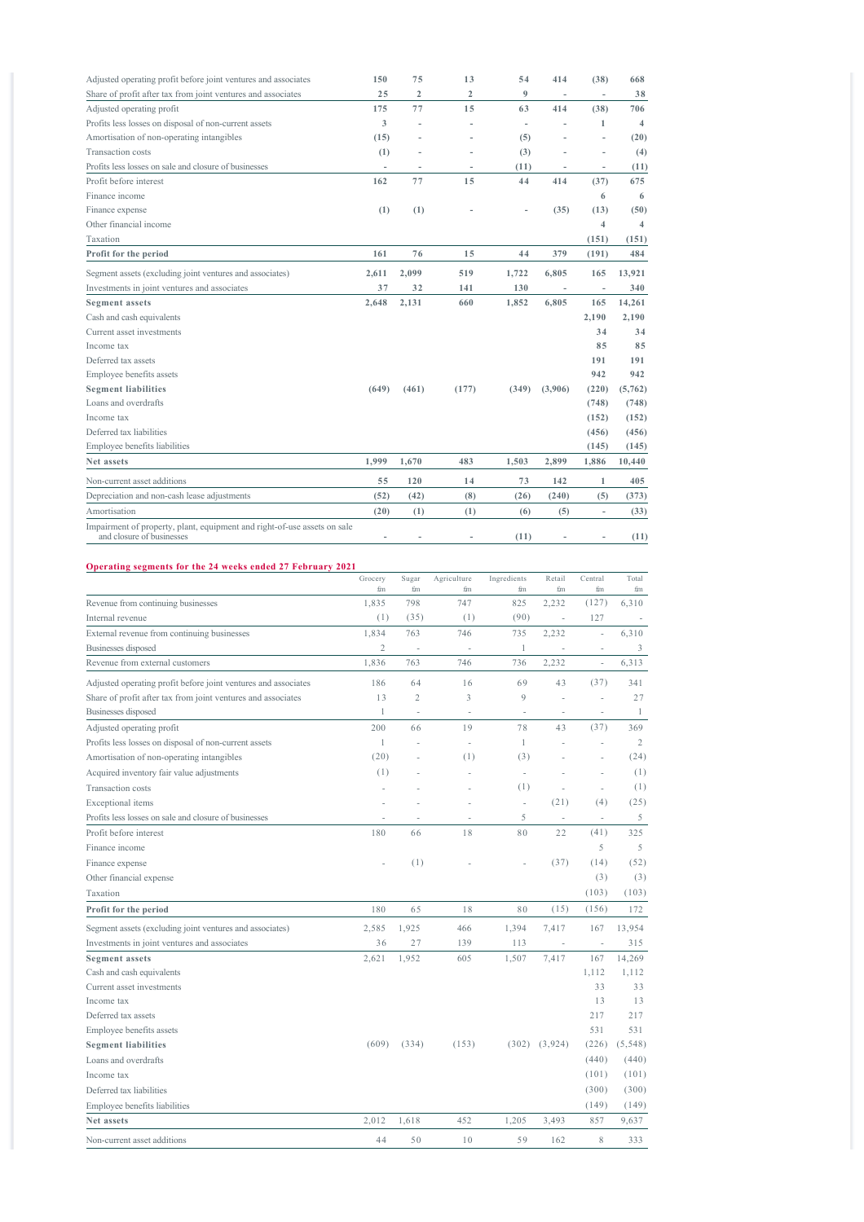| Adjusted operating profit before joint ventures and associates                                        | 150                      | 75                       | 13             | 54     | 414            | (38)                     | 668                   |
|-------------------------------------------------------------------------------------------------------|--------------------------|--------------------------|----------------|--------|----------------|--------------------------|-----------------------|
| Share of profit after tax from joint ventures and associates                                          | 25                       | $\overline{2}$           | $\overline{2}$ | 9      | ÷,             |                          | 38                    |
| Adjusted operating profit                                                                             | 175                      | 77                       | 15             | 63     | 414            | (38)                     | 706                   |
| Profits less losses on disposal of non-current assets                                                 | 3                        | ٠                        |                | $\sim$ |                | 1                        | $\overline{4}$        |
| Amortisation of non-operating intangibles                                                             | (15)                     |                          |                | (5)    |                | ٠                        | (20)                  |
| <b>Transaction</b> costs                                                                              | (1)                      |                          | $\overline{a}$ | (3)    |                |                          | (4)                   |
| Profits less losses on sale and closure of businesses                                                 | $\overline{\phantom{a}}$ | $\overline{\phantom{a}}$ | ٠              | (11)   | $\overline{a}$ | $\overline{\phantom{a}}$ | (11)                  |
| Profit before interest                                                                                | 162                      | 77                       | 15             | 44     | 414            | (37)                     | 675                   |
| Finance income                                                                                        |                          |                          |                |        |                | 6                        | 6                     |
| Finance expense                                                                                       | (1)                      | (1)                      |                | ٠      | (35)           | (13)                     | (50)                  |
| Other financial income                                                                                |                          |                          |                |        |                | $\overline{\mathbf{4}}$  | $\boldsymbol{\Delta}$ |
| Taxation                                                                                              |                          |                          |                |        |                | (151)                    | (151)                 |
| Profit for the period                                                                                 | 161                      | 76                       | 15             | 44     | 379            | (191)                    | 484                   |
| Segment assets (excluding joint ventures and associates)                                              | 2,611                    | 2,099                    | 519            | 1,722  | 6,805          | 165                      | 13,921                |
| Investments in joint ventures and associates                                                          | 37                       | 32                       | 141            | 130    |                | $\overline{a}$           | 340                   |
| <b>Segment</b> assets                                                                                 | 2,648                    | 2,131                    | 660            | 1,852  | 6,805          | 165                      | 14,261                |
| Cash and cash equivalents                                                                             |                          |                          |                |        |                | 2,190                    | 2,190                 |
| Current asset investments                                                                             |                          |                          |                |        |                | 34                       | 34                    |
| Income tax                                                                                            |                          |                          |                |        |                | 85                       | 85                    |
| Deferred tax assets                                                                                   |                          |                          |                |        |                | 191                      | 191                   |
| Employee benefits assets                                                                              |                          |                          |                |        |                | 942                      | 942                   |
| <b>Segment liabilities</b>                                                                            | (649)                    | (461)                    | (177)          | (349)  | (3,906)        | (220)                    | (5, 762)              |
| Loans and overdrafts                                                                                  |                          |                          |                |        |                | (748)                    | (748)                 |
| Income tax                                                                                            |                          |                          |                |        |                | (152)                    | (152)                 |
| Deferred tax liabilities                                                                              |                          |                          |                |        |                | (456)                    | (456)                 |
| Employee benefits liabilities                                                                         |                          |                          |                |        |                | (145)                    | (145)                 |
| Net assets                                                                                            | 1,999                    | 1,670                    | 483            | 1,503  | 2,899          | 1,886                    | 10,440                |
| Non-current asset additions                                                                           | 55                       | 120                      | 14             | 73     | 142            | $\mathbf{1}$             | 405                   |
| Depreciation and non-cash lease adjustments                                                           | (52)                     | (42)                     | (8)            | (26)   | (240)          | (5)                      | (373)                 |
| Amortisation                                                                                          | (20)                     | (1)                      | (1)            | (6)    | (5)            | $\overline{\phantom{a}}$ | (33)                  |
| Impairment of property, plant, equipment and right-of-use assets on sale<br>and closure of businesses |                          |                          |                | (11)   |                |                          | (11)                  |

#### **Operating segments for the 24 weeks ended 27 February 2021**

|                                                                | Grocery<br>fm  | Sugar<br>fim             | Agriculture<br>fm        | Ingredients<br>fin       | Retail<br>fin            | Central<br>fm            | Total<br>fin   |
|----------------------------------------------------------------|----------------|--------------------------|--------------------------|--------------------------|--------------------------|--------------------------|----------------|
| Revenue from continuing businesses                             | 1,835          | 798                      | 747                      | 825                      | 2,232                    | (127)                    | 6,310          |
| Internal revenue                                               | (1)            | (35)                     | (1)                      | (90)                     | ä,                       | 127                      |                |
| External revenue from continuing businesses                    | 1,834          | 763                      | 746                      | 735                      | 2,232                    | Ĭ.                       | 6,310          |
| Businesses disposed                                            | $\overline{2}$ |                          |                          | $\mathbf{1}$             |                          | ×,                       | 3              |
| Revenue from external customers                                | 1,836          | 763                      | 746                      | 736                      | 2,232                    | ä,                       | 6,313          |
| Adjusted operating profit before joint ventures and associates | 186            | 64                       | 16                       | 69                       | 43                       | (37)                     | 341            |
| Share of profit after tax from joint ventures and associates   | 13             | $\mathfrak{2}$           | 3                        | 9                        |                          | J.                       | 27             |
| Businesses disposed                                            | $\mathbf{1}$   | $\overline{\phantom{a}}$ | $\overline{\phantom{a}}$ | $\overline{\phantom{a}}$ | $\overline{\phantom{a}}$ | $\overline{\phantom{a}}$ | $\mathbf{1}$   |
| Adjusted operating profit                                      | 200            | 66                       | 19                       | 78                       | 43                       | (37)                     | 369            |
| Profits less losses on disposal of non-current assets          | $\mathbf{1}$   | ä,                       | L,                       | $\mathbf{1}$             | J.                       | ä,                       | $\overline{2}$ |
| Amortisation of non-operating intangibles                      | (20)           |                          | (1)                      | (3)                      |                          | ä,                       | (24)           |
| Acquired inventory fair value adjustments                      | (1)            |                          |                          | ä,                       |                          |                          | (1)            |
| <b>Transaction</b> costs                                       |                |                          |                          | (1)                      |                          | J.                       | (1)            |
| Exceptional items                                              |                |                          |                          | ä,                       | (21)                     | (4)                      | (25)           |
| Profits less losses on sale and closure of businesses          |                | i.                       | i.                       | 5                        | $\overline{\phantom{a}}$ | ٠                        | 5              |
| Profit before interest                                         | 180            | 66                       | 18                       | 80                       | 22                       | (41)                     | 325            |
| Finance income                                                 |                |                          |                          |                          |                          | 5                        | 5              |
| Finance expense                                                |                | (1)                      |                          |                          | (37)                     | (14)                     | (52)           |
| Other financial expense                                        |                |                          |                          |                          |                          | (3)                      | (3)            |
| Taxation                                                       |                |                          |                          |                          |                          | (103)                    | (103)          |
| Profit for the period                                          | 180            | 65                       | 18                       | 80                       | (15)                     | (156)                    | 172            |
| Segment assets (excluding joint ventures and associates)       | 2,585          | 1,925                    | 466                      | 1,394                    | 7,417                    | 167                      | 13,954         |
| Investments in joint ventures and associates                   | 36             | 27                       | 139                      | 113                      | $\overline{\phantom{a}}$ | ä,                       | 315            |
| <b>Segment assets</b>                                          | 2,621          | 1,952                    | 605                      | 1,507                    | 7,417                    | 167                      | 14,269         |
| Cash and cash equivalents                                      |                |                          |                          |                          |                          | 1,112                    | 1,112          |
| Current asset investments                                      |                |                          |                          |                          |                          | 33                       | 33             |
| Income tax                                                     |                |                          |                          |                          |                          | 13                       | 13             |
| Deferred tax assets                                            |                |                          |                          |                          |                          | 217                      | 217            |
| Employee benefits assets                                       |                |                          |                          |                          |                          | 531                      | 531            |
| <b>Segment liabilities</b>                                     | (609)          | (334)                    | (153)                    |                          | $(302)$ $(3,924)$        | (226)                    | (5, 548)       |
| Loans and overdrafts                                           |                |                          |                          |                          |                          | (440)                    | (440)          |
| Income tax                                                     |                |                          |                          |                          |                          | (101)                    | (101)          |
| Deferred tax liabilities                                       |                |                          |                          |                          |                          | (300)                    | (300)          |
| Employee benefits liabilities                                  |                |                          |                          |                          |                          | (149)                    | (149)          |
| Net assets                                                     | 2,012          | 1,618                    | 452                      | 1,205                    | 3,493                    | 857                      | 9,637          |
| Non-current asset additions                                    | 44             | 50                       | 10                       | 59                       | 162                      | 8                        | 333            |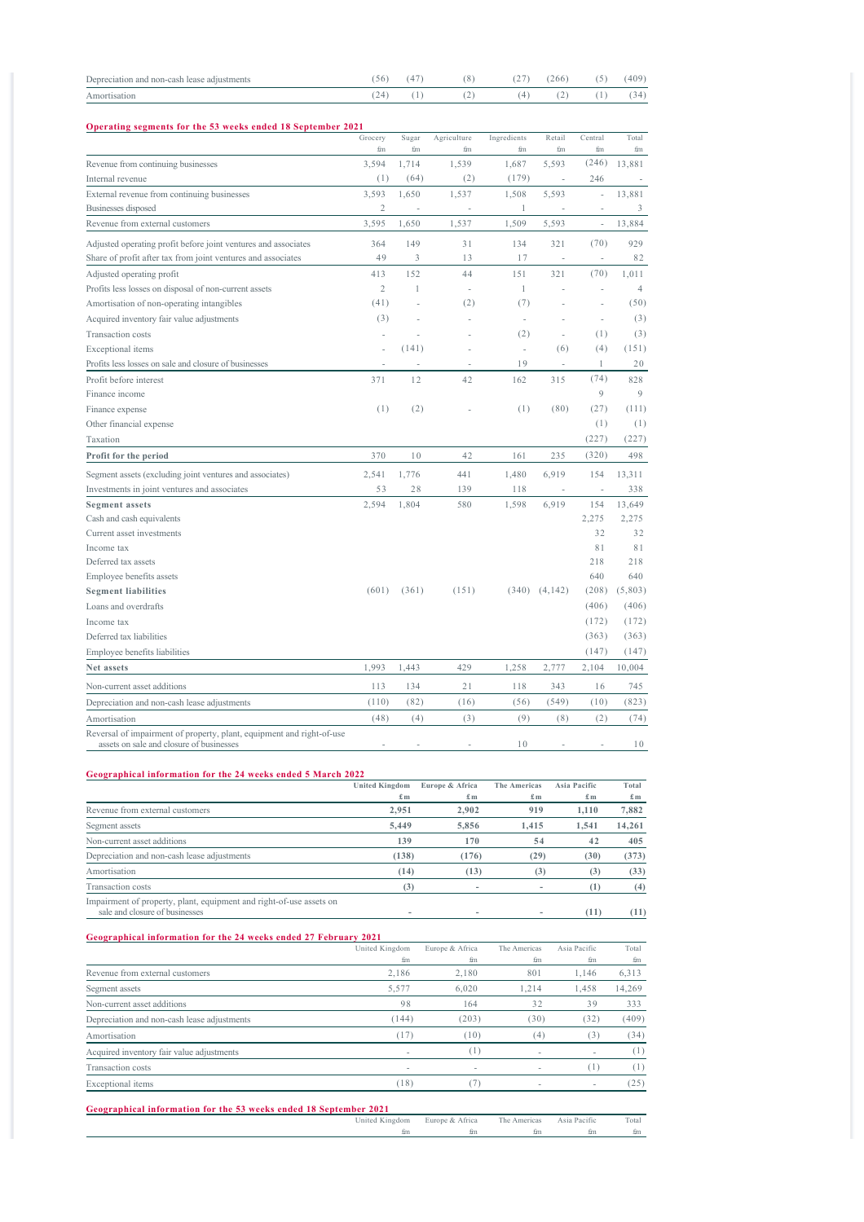| Depreciation and non-cash lease adjustments | 56) | (47) | (8) | (27) |     | $(266)$ $(5)$ $(409)$ |              |
|---------------------------------------------|-----|------|-----|------|-----|-----------------------|--------------|
| Amortisation                                | 24) |      |     | (4)  | (2) |                       | $(1)$ $(34)$ |

## **Operating segments for the 53 weeks ended 18 September 2021**

|                                                                                                                   | Grocery<br>fin | Sugar<br>fm              | Agriculture<br>fin | Ingredients  | Retail<br>fm      | Central<br>fim | Total<br>fin   |
|-------------------------------------------------------------------------------------------------------------------|----------------|--------------------------|--------------------|--------------|-------------------|----------------|----------------|
| Revenue from continuing businesses                                                                                | 3,594          | 1,714                    | 1,539              | fin<br>1,687 | 5,593             | (246)          | 13.881         |
| Internal revenue                                                                                                  | (1)            | (64)                     | (2)                | (179)        | ÷,                | 246            |                |
| External revenue from continuing businesses                                                                       | 3,593          | 1,650                    | 1,537              | 1,508        | 5,593             | ÷,             | 13,881         |
| Businesses disposed                                                                                               | $\overline{2}$ | ä,                       | à,                 | $\mathbf{1}$ | ä,                | ä,             | 3              |
| Revenue from external customers                                                                                   | 3,595          | 1,650                    | 1,537              | 1,509        | 5,593             | ä,             | 13,884         |
| Adjusted operating profit before joint ventures and associates                                                    | 364            | 149                      | 31                 | 134          | 321               | (70)           | 929            |
| Share of profit after tax from joint ventures and associates                                                      | 49             | $\overline{\mathcal{E}}$ | 13                 | 17           | ä,                | L.             | 82             |
| Adjusted operating profit                                                                                         | 413            | 152                      | 44                 | 151          | 321               | (70)           | 1,011          |
| Profits less losses on disposal of non-current assets                                                             | $\overline{2}$ | $\mathbf{1}$             | J.                 | $\mathbf{1}$ |                   | L,             | $\overline{4}$ |
| Amortisation of non-operating intangibles                                                                         | (41)           |                          | (2)                | (7)          |                   | ä,             | (50)           |
| Acquired inventory fair value adjustments                                                                         | (3)            |                          | Î.                 | ÷.           |                   | ä,             | (3)            |
| Transaction costs                                                                                                 |                |                          |                    | (2)          | J.                | (1)            | (3)            |
| Exceptional items                                                                                                 |                | (141)                    |                    | J.           | (6)               | (4)            | (151)          |
| Profits less losses on sale and closure of businesses                                                             |                | ä,                       | J.                 | 19           | ÷,                | $\mathbf{1}$   | 20             |
| Profit before interest                                                                                            | 371            | 12                       | 42                 | 162          | 315               | (74)           | 828            |
| Finance income                                                                                                    |                |                          |                    |              |                   | 9              | 9              |
| Finance expense                                                                                                   | (1)            | (2)                      |                    | (1)          | (80)              | (27)           | (111)          |
| Other financial expense                                                                                           |                |                          |                    |              |                   | (1)            | (1)            |
| Taxation                                                                                                          |                |                          |                    |              |                   | (227)          | (227)          |
| Profit for the period                                                                                             | 370            | 10                       | 42                 | 161          | 235               | (320)          | 498            |
| Segment assets (excluding joint ventures and associates)                                                          | 2,541          | 1.776                    | 441                | 1,480        | 6,919             | 154            | 13,311         |
| Investments in joint ventures and associates                                                                      | 53             | 28                       | 139                | 118          |                   | ä,             | 338            |
| <b>Segment</b> assets                                                                                             | 2,594          | 1,804                    | 580                | 1,598        | 6,919             | 154            | 13,649         |
| Cash and cash equivalents                                                                                         |                |                          |                    |              |                   | 2,275          | 2,275          |
| Current asset investments                                                                                         |                |                          |                    |              |                   | 32             | 32             |
| Income tax                                                                                                        |                |                          |                    |              |                   | 81             | 81             |
| Deferred tax assets                                                                                               |                |                          |                    |              |                   | 218            | 218            |
| Employee benefits assets                                                                                          |                |                          |                    |              |                   | 640            | 640            |
| <b>Segment liabilities</b>                                                                                        | (601)          | (361)                    | (151)              |              | $(340)$ $(4,142)$ | (208)          | (5,803)        |
| Loans and overdrafts                                                                                              |                |                          |                    |              |                   | (406)          | (406)          |
| Income tax                                                                                                        |                |                          |                    |              |                   | (172)          | (172)          |
| Deferred tax liabilities                                                                                          |                |                          |                    |              |                   | (363)          | (363)          |
| Employee benefits liabilities                                                                                     |                |                          |                    |              |                   | (147)          | (147)          |
| Net assets                                                                                                        | 1,993          | 1,443                    | 429                | 1,258        | 2,777             | 2,104          | 10,004         |
| Non-current asset additions                                                                                       | 113            | 134                      | 21                 | 118          | 343               | 16             | 745            |
| Depreciation and non-cash lease adjustments                                                                       | (110)          | (82)                     | (16)               | (56)         | (549)             | (10)           | (823)          |
| Amortisation                                                                                                      | (48)           | (4)                      | (3)                | (9)          | (8)               | (2)            | (74)           |
| Reversal of impairment of property, plant, equipment and right-of-use<br>assets on sale and closure of businesses |                |                          |                    | 10           |                   |                | 10             |

### **Geographical information for the 24 weeks ended 5 March 2022**

|                                                                                                       | <b>United Kingdom</b> | Europe & Africa | The Americas | Asia Pacific | Total       |
|-------------------------------------------------------------------------------------------------------|-----------------------|-----------------|--------------|--------------|-------------|
|                                                                                                       | £m                    | $\pounds$ m     | $\pounds$ m  | £m           | $\pounds$ m |
| Revenue from external customers                                                                       | 2.951                 | 2.902           | 919          | 1.110        | 7,882       |
| Segment assets                                                                                        | 5.449                 | 5.856           | 1.415        | 1,541        | 14,261      |
| Non-current asset additions                                                                           | 139                   | 170             | 54           | 42           | 405         |
| Depreciation and non-cash lease adjustments                                                           | (138)                 | (176)           | (29)         | (30)         | (373)       |
| Amortisation                                                                                          | (14)                  | (13)            | (3)          | (3)          | (33)        |
| Transaction costs                                                                                     | (3)                   |                 | ۰            | (1)          | (4)         |
| Impairment of property, plant, equipment and right-of-use assets on<br>sale and closure of businesses |                       |                 |              | (11)         | (11)        |

### **Geographical information for the 24 weeks ended 27 February 2021**

|                                             | United Kingdom           | Europe & Africa        | The Americas | Asia Pacific | Total  |
|---------------------------------------------|--------------------------|------------------------|--------------|--------------|--------|
|                                             | fm                       | fin                    | fim          | fin          | fin    |
| Revenue from external customers             | 2,186                    | 2,180                  | 801          | 1.146        | 6,313  |
| Segment assets                              | 5,577                    | 6.020                  | 1.214        | 1,458        | 14,269 |
| Non-current asset additions                 | 98                       | 164                    | 32           | 39           | 333    |
| Depreciation and non-cash lease adjustments | (144)                    | (203)                  | (30)         | 32)          | (409)  |
| Amortisation                                | (17)                     | (10)                   | $^{(4)}$     | (3)          | (34)   |
| Acquired inventory fair value adjustments   |                          | $\left( \quad \right)$ | ٠            | ٠            | ( L )  |
| <b>Transaction</b> costs                    | $\overline{\phantom{a}}$ | -                      |              | Ш.           | H.     |
| Exceptional items                           | (18)                     |                        |              | ۰            | (25)   |

| Geographical information for the 53 weeks ended 18 September 2021 |                                                          |    |       |
|-------------------------------------------------------------------|----------------------------------------------------------|----|-------|
|                                                                   | United Kingdom Europe & Africa The Americas Asia Pacific |    | Total |
|                                                                   |                                                          | fm | fim.  |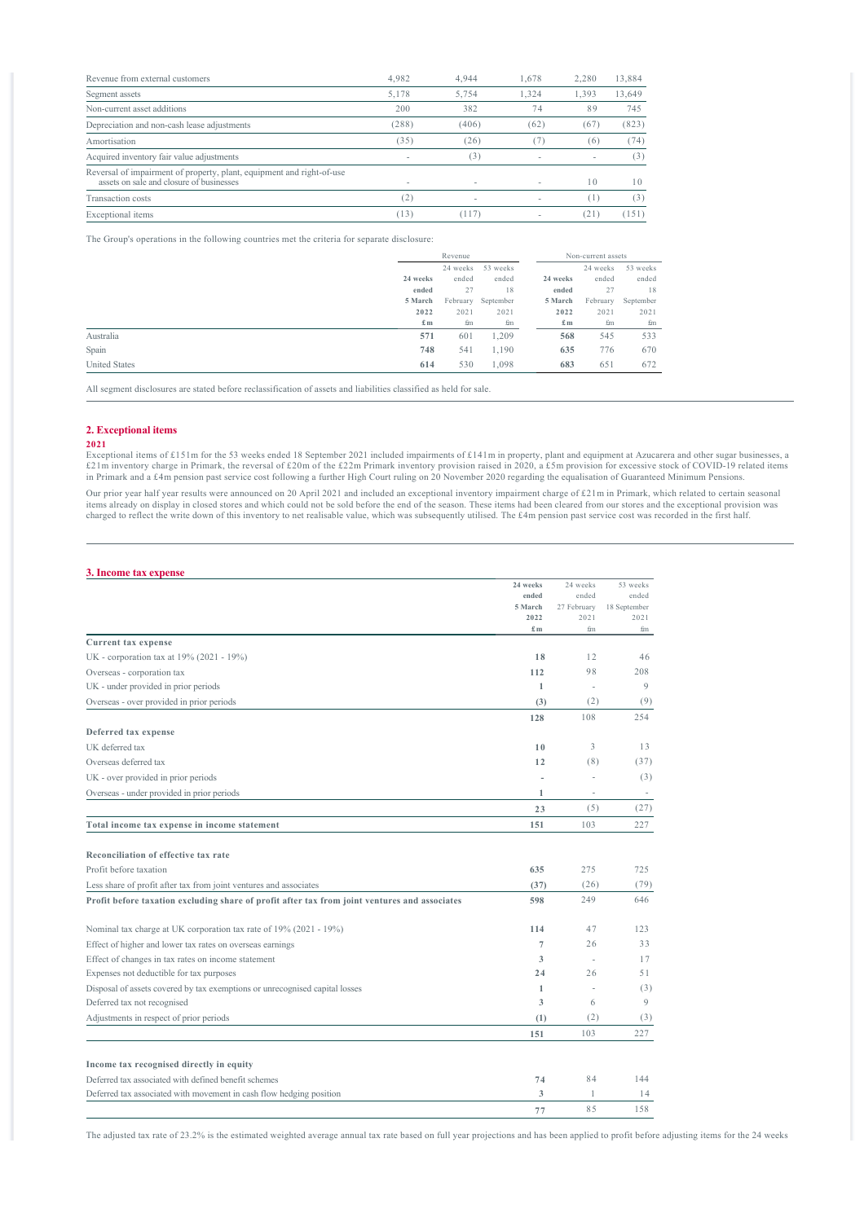| Revenue from external customers                                                                                   | 4.982                | 4.944 | 1.678 | 2.280                    | 13,884 |
|-------------------------------------------------------------------------------------------------------------------|----------------------|-------|-------|--------------------------|--------|
| Segment assets                                                                                                    | 5,178                | 5.754 | 1.324 | 1,393                    | 13,649 |
| Non-current asset additions                                                                                       | 200                  | 382   | 74    | 89                       | 745    |
| Depreciation and non-cash lease adjustments                                                                       | (288)                | (406) | (62)  | 67                       | (823)  |
| Amortisation                                                                                                      | (35)                 | (26)  |       | (6)                      | (74)   |
| Acquired inventory fair value adjustments                                                                         |                      | (3)   | ٠     | $\overline{\phantom{a}}$ | (3)    |
| Reversal of impairment of property, plant, equipment and right-of-use<br>assets on sale and closure of businesses | <b>State</b>         |       | ۰     | 10                       | 10     |
| <b>Transaction</b> costs                                                                                          | $\mathbf{2}^{\circ}$ |       |       | п.                       | (3)    |
| Exceptional items                                                                                                 | (13)                 | (117) |       | 21                       | (151)  |

The Group's operations in the following countries met the criteria for separate disclosure:

|                      |          | Revenue  |                    |          | Non-current assets |           |
|----------------------|----------|----------|--------------------|----------|--------------------|-----------|
|                      |          | 24 weeks | 53 weeks           |          | 24 weeks           | 53 weeks  |
|                      | 24 weeks | ended    | ended              | 24 weeks | ended              | ended     |
|                      | ended    | 27       | 18                 | ended    | 27                 | 18        |
|                      | 5 March  |          | February September | 5 March  | February           | September |
|                      | 2022     | 2021     | 2021               | 2022     | 2021               | 2021      |
|                      | £m       | fim      | fin                | £m       | fin                | fim       |
| Australia            | 571      | 601      | 1,209              | 568      | 545                | 533       |
| Spain                | 748      | 541      | 1.190              | 635      | 776                | 670       |
| <b>United States</b> | 614      | 530      | 1,098              | 683      | 651                | 672       |

All segment disclosures are stated before reclassification of assets and liabilities classified as held for sale.

### **2. Exceptional items**

#### **2021**

Exceptional items of £151m for the 53 weeks ended 18 September 2021 included impairments of £141m in property, plant and equipment at Azucarera and other sugar businesses, a<br>£21m inventory charge in Primark, the reversal o

Our prior year half year results were announced on 20 April 2021 and included an exceptional inventory impairment charge of £21m in Primark, which related to certain seasonal items already on display in closed stores and which could not be sold before the end of the season. These items had been cleared from our stores and the exceptional provision was<br>charged to reflect the write down of this i

## **3. Income tax expense**

|                                                                                               | 24 weeks       | 24 weeks     | 53 weeks       |
|-----------------------------------------------------------------------------------------------|----------------|--------------|----------------|
|                                                                                               | ended          | ended        | ended          |
|                                                                                               | 5 March        | 27 February  | 18 September   |
|                                                                                               | 2022<br>£m     | 2021<br>fm   | 2021<br>fin    |
| Current tax expense                                                                           |                |              |                |
| UK - corporation tax at 19% (2021 - 19%)                                                      | 18             | 12           | 46             |
| Overseas - corporation tax                                                                    | 112            | 98           | 208            |
| UK - under provided in prior periods                                                          | 1              | ÷            | $\overline{Q}$ |
| Overseas - over provided in prior periods                                                     | (3)            | (2)          | (9)            |
|                                                                                               |                | 108          |                |
|                                                                                               | 128            |              | 254            |
| Deferred tax expense                                                                          |                |              |                |
| UK deferred tax                                                                               | 10             | 3            | 13             |
| Overseas deferred tax                                                                         | 12             | (8)          | (37)           |
| UK - over provided in prior periods                                                           |                |              | (3)            |
| Overseas - under provided in prior periods                                                    | 1              | ٠            |                |
|                                                                                               | 23             | (5)          | (27)           |
| Total income tax expense in income statement                                                  | 151            | 103          | 227            |
|                                                                                               |                |              |                |
| <b>Reconciliation of effective tax rate</b>                                                   |                |              |                |
| Profit before taxation                                                                        | 635            | 275          | 725            |
| Less share of profit after tax from joint ventures and associates                             | (37)           | (26)         | (79)           |
| Profit before taxation excluding share of profit after tax from joint ventures and associates | 598            | 249          | 646            |
|                                                                                               |                |              |                |
| Nominal tax charge at UK corporation tax rate of 19% (2021 - 19%)                             | 114            | 47           | 123            |
| Effect of higher and lower tax rates on overseas earnings                                     | $\overline{7}$ | 26           | 33             |
| Effect of changes in tax rates on income statement                                            | 3              |              | 17             |
| Expenses not deductible for tax purposes                                                      | 24             | 26           | 51             |
| Disposal of assets covered by tax exemptions or unrecognised capital losses                   | 1              |              | (3)            |
| Deferred tax not recognised                                                                   | 3              | 6            | 9              |
| Adjustments in respect of prior periods                                                       | (1)            | (2)          | (3)            |
|                                                                                               | 151            | 103          | 227            |
|                                                                                               |                |              |                |
| Income tax recognised directly in equity                                                      |                |              |                |
| Deferred tax associated with defined benefit schemes                                          | 74             | 84           | 144            |
| Deferred tax associated with movement in cash flow hedging position                           | 3              | $\mathbf{1}$ | 14             |
|                                                                                               |                | 85           | 158            |
|                                                                                               | 77             |              |                |

The adjusted tax rate of 23.2% is the estimated weighted average annual tax rate based on full year projections and has been applied to profit before adjusting items for the 24 weeks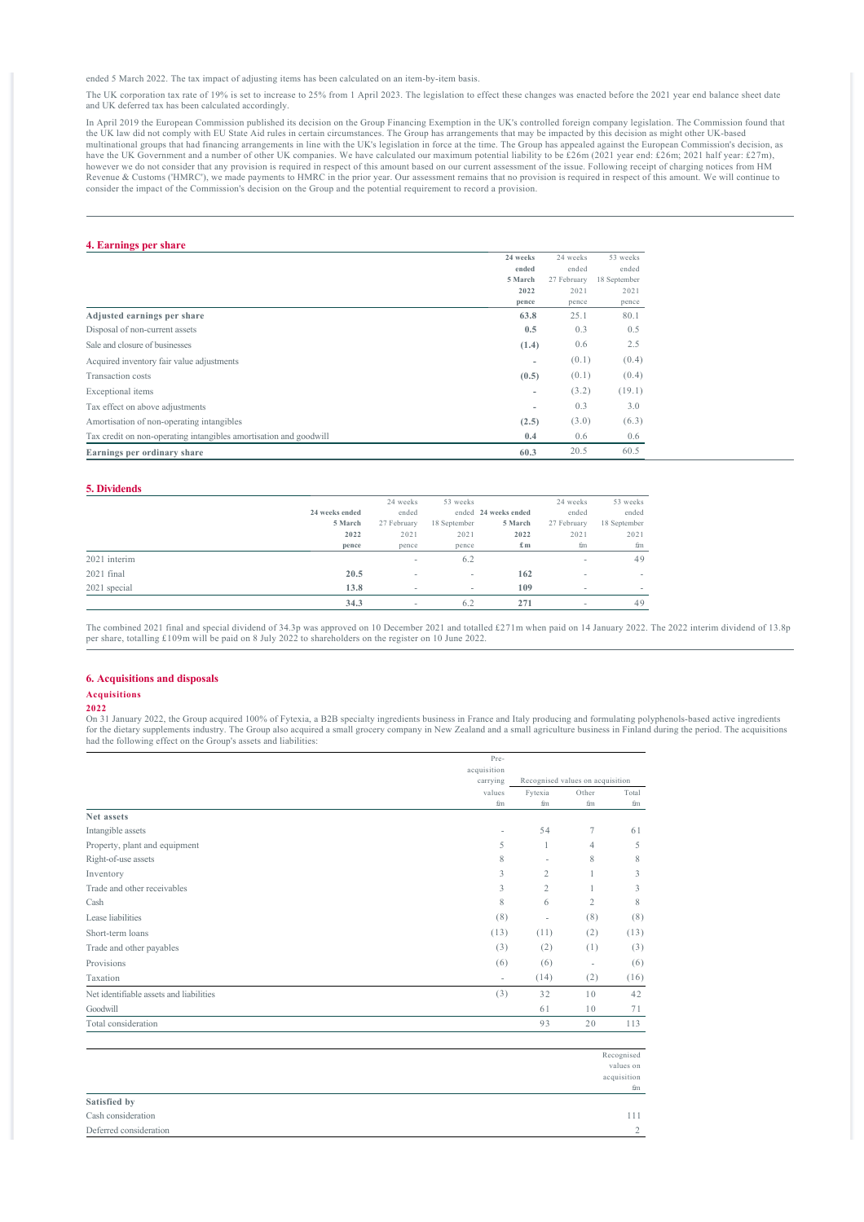ended 5 March 2022. The tax impact of adjusting items has been calculated on an item-by-item basis.

The UK corporation tax rate of 19% is set to increase to 25% from 1 April 2023. The legislation to effect these changes was enacted before the 2021 year end balance sheet date and UK deferred tax has been calculated accordingly.

In April 2019 the European Commission published its decision on the Group Financing Exemption in the UK's controlled foreign company legislation. The Commission found that the UK law did not comply with EU State Aid rules in certain circumstances. The Group has arrangements that may be impacted by this decision as might other UK-based multinational groups that had financing arrangements in line with the UK's legislation in force at the time. The Group has appealed against the European Commission's decision, as<br>have the UK Government and a number of othe however we do not consider that any provision is required in respect of this amount based on our current assessment of the issue. Following receipt of charging notices from HM Revenue & Customs ('HMRC'), we made payments to HMRC in the prior year. Our assessment remains that no provision is required in respect of this amount. We will continue to consider the impact of the Commission's decision o

#### **4. Earnings per share**

|                                                                   | 24 weeks | 24 weeks    | 53 weeks     |
|-------------------------------------------------------------------|----------|-------------|--------------|
|                                                                   | ended    | ended       | ended        |
|                                                                   | 5 March  | 27 February | 18 September |
|                                                                   | 2022     | 2021        | 2021         |
|                                                                   | pence    | pence       | pence        |
| Adjusted earnings per share                                       | 63.8     | 25.1        | 80.1         |
| Disposal of non-current assets                                    | 0.5      | 0.3         | 0.5          |
| Sale and closure of businesses                                    | (1.4)    | 0.6         | 2.5          |
| Acquired inventory fair value adjustments                         | ۰        | (0.1)       | (0.4)        |
| <b>Transaction</b> costs                                          | (0.5)    | (0.1)       | (0.4)        |
| Exceptional items                                                 | ٠        | (3.2)       | (19.1)       |
| Tax effect on above adjustments                                   | ۰        | 0.3         | 3.0          |
| Amortisation of non-operating intangibles                         | (2.5)    | (3.0)       | (6.3)        |
| Tax credit on non-operating intangibles amortisation and goodwill | 0.4      | 0.6         | 0.6          |
| Earnings per ordinary share                                       | 60.3     | 20.5        | 60.5         |

#### **5. Dividends**

| <u>J. DIVRRHIMS</u> |                |             |              |                      |             |              |
|---------------------|----------------|-------------|--------------|----------------------|-------------|--------------|
|                     |                | 24 weeks    | 53 weeks     |                      | 24 weeks    | 53 weeks     |
|                     | 24 weeks ended | ended       |              | ended 24 weeks ended | ended       | ended        |
|                     | 5 March        | 27 February | 18 September | 5 March              | 27 February | 18 September |
|                     | 2022           | 2021        | 2021         | 2022                 | 2021        | 2021         |
|                     | pence          | pence       | pence        | $\pounds$ m          | fim         | fin          |
| 2021 interim        |                | ×.          | 6.2          |                      |             | 49           |
| $2021$ final        | 20.5           | ×.          | ×.           | 162                  |             | <b>State</b> |
| 2021 special        | 13.8           | ٠           | ٠            | 109                  | $\sim$      |              |
|                     | 34.3           | ٠           | 6.2          | 271                  | $\sim$      | 49           |

The combined 2021 final and special dividend of 34.3p was approved on 10 December 2021 and totalled £271m when paid on 14 January 2022. The 2022 interim dividend of 13.8p per share, totalling £109m will be paid on 8 July 2022 to shareholders on the register on 10 June 2022.

#### **6. Acquisitions and disposals**

### **Acquisitions**

**2022**<br>On 31 January 2022, the Group acquired 100% of Fytexia, a B2B specialty ingredients business in France and Italy producing and formulating polyphenols-based active ingredients<br>for the dietary supplements industry. T had the following effect on the Group's assets and liabilities:

|                                         | Pre-                     |                |                                  |             |
|-----------------------------------------|--------------------------|----------------|----------------------------------|-------------|
|                                         | acquisition              |                |                                  |             |
|                                         | carrying                 |                | Recognised values on acquisition |             |
|                                         | values                   | Fytexia        | Other                            | Total       |
|                                         | fm                       | fm             | fm                               | fin         |
| Net assets                              |                          |                |                                  |             |
| Intangible assets                       | ٠                        | 54             | $\tau$                           | 61          |
| Property, plant and equipment           | 5                        | 1              | $\overline{4}$                   | 5           |
| Right-of-use assets                     | 8                        | ٠              | 8                                | 8           |
| Inventory                               | 3                        | $\overline{2}$ |                                  | 3           |
| Trade and other receivables             | 3                        | $\overline{2}$ |                                  | 3           |
| Cash                                    | 8                        | 6              | $\overline{c}$                   | 8           |
| Lease liabilities                       | (8)                      | ٠              | (8)                              | (8)         |
| Short-term loans                        | (13)                     | (11)           | (2)                              | (13)        |
| Trade and other payables                | (3)                      | (2)            | (1)                              | (3)         |
| Provisions                              | (6)                      | (6)            | $\overline{\phantom{a}}$         | (6)         |
| Taxation                                | $\overline{\phantom{a}}$ | (14)           | (2)                              | (16)        |
| Net identifiable assets and liabilities | (3)                      | 32             | 10                               | 42          |
| Goodwill                                |                          | 61             | 10                               | 71          |
| Total consideration                     |                          | 93             | 20                               | 113         |
|                                         |                          |                |                                  |             |
|                                         |                          |                |                                  | Recognised  |
|                                         |                          |                |                                  | values on   |
|                                         |                          |                |                                  | acquisition |
| 0.19.09.13                              |                          |                |                                  | fm          |

| Satisfied by           |  |
|------------------------|--|
| Cash consideration     |  |
| Deferred consideration |  |
|                        |  |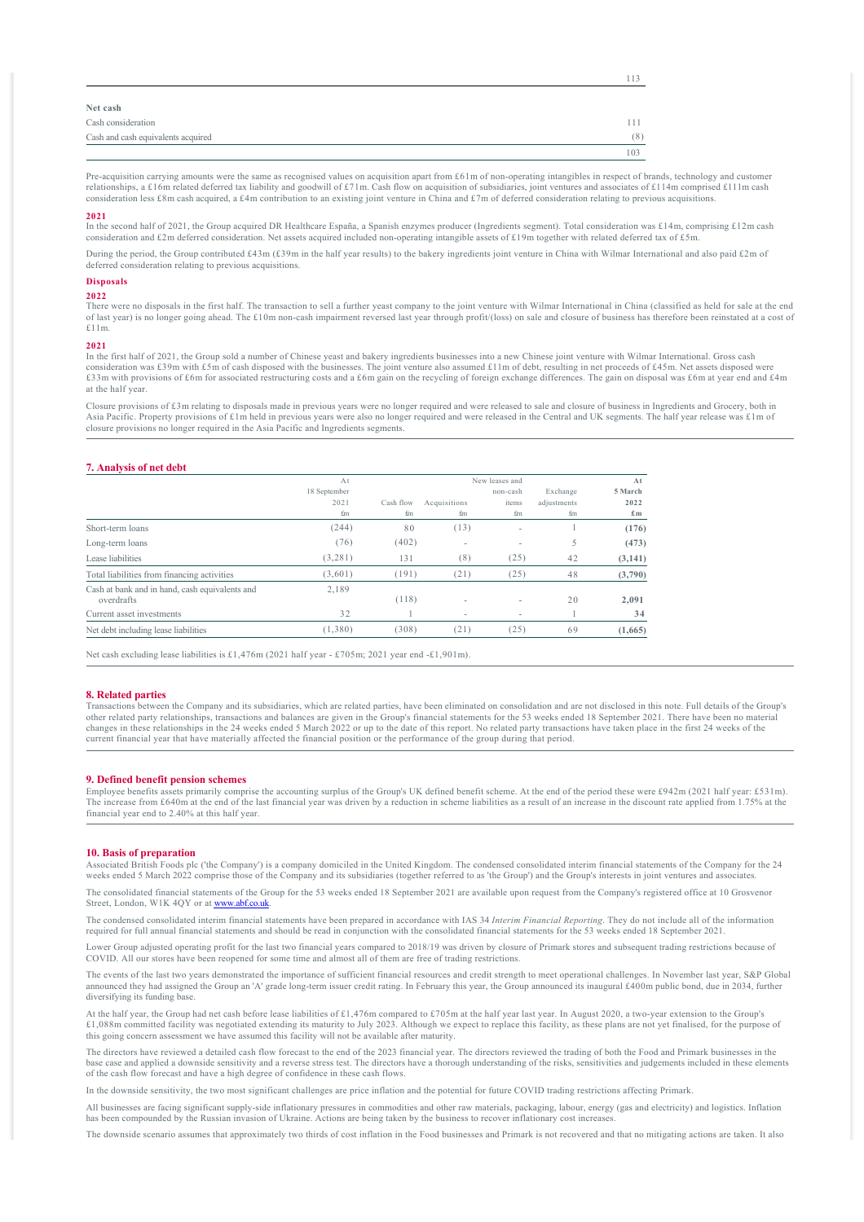| Net cash                           |     |
|------------------------------------|-----|
| Cash consideration                 |     |
| Cash and cash equivalents acquired | (8) |
|                                    | 103 |

Pre-acquisition carrying amounts were the same as recognised values on acquisition apart from £61m of non-operating intangibles in respect of brands, technology and customer relationships, a £16m related deferred tax liability and goodwill of £71m. Cash flow on acquisition of subsidiaries, joint ventures and associates of £114m comprised £111m cash consideration less £8m cash acquired, a £4m contribution to an existing joint venture in China and £7m of deferred consideration relating to previous acquisitions.

113

#### **2021**

In the second half of 2021, the Group acquired DR Healthcare España, a Spanish enzymes producer (Ingredients segment). Total consideration was £14m, comprising £12m cash consideration and £2m deferred consideration. Net assets acquired included non-operating intangible assets of £19m together with related deferred tax of £5m.

During the period, the Group contributed £43m (£39m in the half year results) to the bakery ingredients joint venture in China with Wilmar International and also paid £2m of deferred consideration relating to previous acquisitions.

## **Disposals**

**2022**

There were no disposals in the first half. The transaction to sell a further yeast company to the joint venture with Wilmar International in China (classified as held for sale at the end of last year) is no longer going ahead. The £10m non-cash impairment reversed last year through profit/(loss) on sale and closure of business has therefore been reinstated at a cost of £11m.

#### **2021**

In the first half of 2021, the Group sold a number of Chinese yeast and bakery ingredients businesses into a new Chinese joint venture with Wilmar International. Gross cash consideration was £39m with £5m of cash disposed with the businesses. The joint venture also assumed £11m of debt, resulting in net proceeds of £45m. Net assets disposed were £33m with provisions of £6m for associated restructuring costs and a £6m gain on the recycling of foreign exchange differences. The gain on disposal was £6m at year end and £4m at the half year.

Closure provisions of £3m relating to disposals made in previous years were no longer required and were released to sale and closure of business in Ingredients and Grocery, both in Asia Pacific. Property provisions of £1m held in previous years were also no longer required and were released in the Central and UK segments. The half year release was £1m of<br>closure provisions no longer required in the A

#### **7. Analysis of net debt**

|                                                | At                            | New leases and |              |          |             |          |  |  |
|------------------------------------------------|-------------------------------|----------------|--------------|----------|-------------|----------|--|--|
|                                                | 18 September                  |                |              | non-cash | Exchange    | 5 March  |  |  |
|                                                | 2021                          | Cash flow      | Acquisitions | items    | adjustments | 2022     |  |  |
|                                                | fm<br>fim<br>fm<br>fin<br>fim |                | $\pounds$ m  |          |             |          |  |  |
| Short-term loans                               | (244)                         | 80             | (13)         | ٠        |             | (176)    |  |  |
| Long-term loans                                | (76)                          | (402)          | ٠            | ٠        | 5           | (473)    |  |  |
| Lease liabilities                              | (3, 281)                      | 131            | (8)          | (25)     | 42          | (3, 141) |  |  |
| Total liabilities from financing activities    | (3,601)                       | (191)          | (21)         | (25)     | 48          | (3,790)  |  |  |
| Cash at bank and in hand, cash equivalents and | 2,189                         |                |              |          |             |          |  |  |
| overdrafts                                     |                               | (118)          | ۰            | ٠        | 20          | 2,091    |  |  |
| Current asset investments                      | 32                            |                | $\sim$       | ٠        |             | 34       |  |  |
| Net debt including lease liabilities           | (1,380)                       | (308)          | (21)         | (25)     | 69          | (1,665)  |  |  |

Net cash excluding lease liabilities is £1,476m (2021 half year - £705m; 2021 year end -£1,901m).

#### **8. Related parties**

Transactions between the Company and its subsidiaries, which are related parties, have been eliminated on consolidation and are not disclosed in this note. Full details of the Group's other related party relationships, transactions and balances are given in the Group's financial statements for the 53 weeks ended 18 September 2021. There have been no material changes in these relationships in the 24 weeks ended 5 March 2022 or up to the date of this report. No related party transactions have taken place in the first 24 weeks of the current financial year that have materially affected the financial position or the performance of the group during that period.

#### **9. Defined benefit pension schemes**

Employee benefits assets primarily comprise the accounting surplus of the Group's UK defined benefit scheme. At the end of the period these were £942m (2021 half year: £531m). The increase from £640m at the end of the last financial year was driven by a reduction in scheme liabilities as a result of an increase in the discount rate applied from 1.75% at the financial year end to 2.40% at this half year.

#### **10. Basis of preparation**

Associated British Foods plc ('the Company') is a company domiciled in the United Kingdom. The condensed consolidated interim financial statements of the Company for the 24 weeks ended 5 March 2022 comprise those of the Company and its subsidiaries (together referred to as 'the Group') and the Group's interests in joint ventures and associates.

The consolidated financial statements of the Group for the 53 weeks ended 18 September 2021 are available upon request from the Company's registered office at 10 Grosvenor Street, London, W1K 4QY or at **[www.abf.co.uk](http://www.abf.co.uk)** 

The condensed consolidated interim financial statements have been prepared in accordance with IAS 34 *Interim Financial Reporting*. They do not include all of the information required for full annual financial statements and should be read in conjunction with the consolidated financial statements for the 53 weeks ended 18 September 2021.

Lower Group adjusted operating profit for the last two financial years compared to 2018/19 was driven by closure of Primark stores and subsequent trading restrictions because of COVID. All our stores have been reopened for some time and almost all of them are free of trading restrictions.

The events of the last two years demonstrated the importance of sufficient financial resources and credit strength to meet operational challenges. In November last year, S&P Global announced they had assigned the Group an 'A' grade long-term issuer credit rating. In February this year, the Group announced its inaugural £400m public bond, due in 2034, further diversifying its funding base.

At the half year, the Group had net cash before lease liabilities of £1,476m compared to £705m at the half year last year. In August 2020, a two-year extension to the Group's<br>£1,088m committed facility was negotiated exten this going concern assessment we have assumed this facility will not be available after maturity.

The directors have reviewed a detailed cash flow forecast to the end of the 2023 financial year. The directors reviewed the trading of both the Food and Primark businesses in the<br>base case and applied a downside sensitivit of the cash flow forecast and have a high degree of confidence in these cash flows.

In the downside sensitivity, the two most significant challenges are price inflation and the potential for future COVID trading restrictions affecting Primark.

All businesses are facing significant supply-side inflationary pressures in commodities and other raw materials, packaging, labour, energy (gas and electricity) and logistics. Inflation has been compounded by the Russian invasion of Ukraine. Actions are being taken by the business to recover inflationary cost increases.

The downside scenario assumes that approximately two thirds of cost inflation in the Food businesses and Primark is not recovered and that no mitigating actions are taken. It also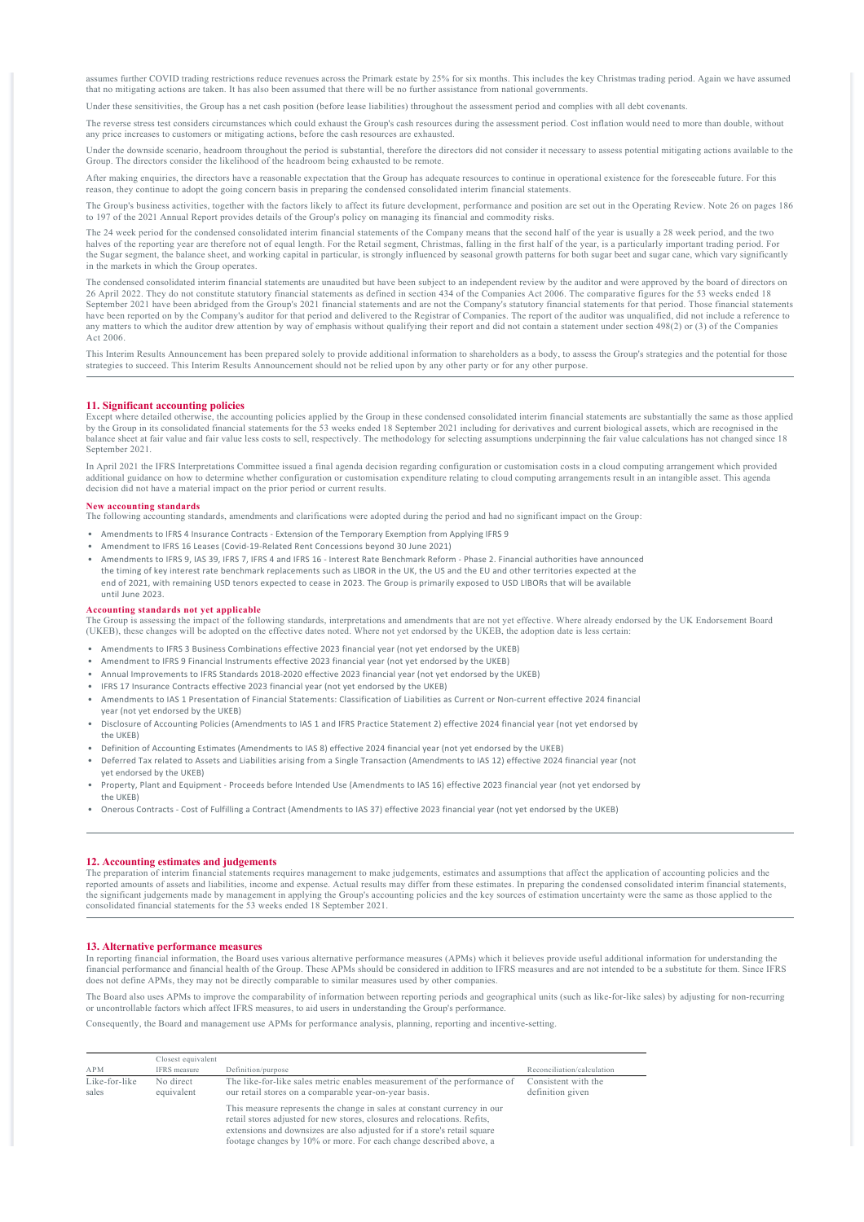assumes further COVID trading restrictions reduce revenues across the Primark estate by 25% for six months. This includes the key Christmas trading period. Again we have assumed that no mitigating actions are taken. It has also been assumed that there will be no further assistance from national governments.

Under these sensitivities, the Group has a net cash position (before lease liabilities) throughout the assessment period and complies with all debt covenants.

The reverse stress test considers circumstances which could exhaust the Group's cash resources during the assessment period. Cost inflation would need to more than double, without any price increases to customers or mitigating actions, before the cash resources are exhausted.

Under the downside scenario, headroom throughout the period is substantial, therefore the directors did not consider it necessary to assess potential mitigating actions available to the Group. The directors consider the likelihood of the headroom being exhausted to be remote.

After making enquiries, the directors have a reasonable expectation that the Group has adequate resources to continue in operational existence for the foreseeable future. For this reason, they continue to adopt the going concern basis in preparing the condensed consolidated interim financial statements.

The Group's business activities, together with the factors likely to affect its future development, performance and position are set out in the Operating Review. Note 26 on pages 186<br>to 197 of the 2021 Annual Report provid

The 24 week period for the condensed consolidated interim financial statements of the Company means that the second half of the year is usually a 28 week period, and the two halves of the reporting year are therefore not of equal length. For the Retail segment, Christmas, falling in the first half of the year, is a particularly important trading period. For half of the year, is a particularly the Sugar segment, the balance sheet, and working capital in particular, is strongly influenced by seasonal growth patterns for both sugar beet and sugar cane, which vary significantly in the markets in which the Group operates.

The condensed consolidated interim financial statements are unaudited but have been subject to an independent review by the auditor and were approved by the board of directors on 26 April 2022. They do not constitute statutory financial statements as defined in section 434 of the Companies Act 2006. The comparative figures for the 53 weeks ended 18 September 2021 have been abridged from the Group's 2021 financial statements and are not the Company's statutory financial statements for that period. Those financial statements have been reported on by the Company's auditor for that period and delivered to the Registrar of Companies. The report of the auditor was unqualified, did not include a reference to<br>any matters to which the auditor drew at Act 2006.

This Interim Results Announcement has been prepared solely to provide additional information to shareholders as a body, to assess the Group's strategies and the potential for those strategies to succeed. This Interim Results Announcement should not be relied upon by any other party or for any other purpose.

#### **11. Significant accounting policies**

Except where detailed otherwise, the accounting policies applied by the Group in these condensed consolidated interim financial statements are substantially the same as those applied<br>by the Group in its consolidated financ balance sheet at fair value and fair value less costs to sell, respectively. The methodology for selecting assumptions underpinning the fair value calculations has not changed since 18 September 2021.

In April 2021 the IFRS Interpretations Committee issued a final agenda decision regarding configuration or customisation costs in a cloud computing arrangement which provided additional guidance on how to determine whether configuration or customisation expenditure relating to cloud computing arrangements result in an intangible asset. This agenda decision did not have a material impact on the prior period or current results.

#### **New accounting standards**

The following accounting standards, amendments and clarifications were adopted during the period and had no significant impact on the Group:

- Amendments to IFRS 4 Insurance Contracts ‐ Extension of the Temporary Exemption from Applying IFRS 9
- Amendment to IFRS 16 Leases (Covid‐19‐Related Rent Concessions beyond 30 June 2021)
- Amendments to IFRS 9, IAS 39, IFRS 7, IFRS 4 and IFRS 16 ‐ Interest Rate Benchmark Reform ‐ Phase 2. Financial authorities have announced the timing of key interest rate benchmark replacements such as LIBOR in the UK, the US and the EU and other territories expected at the end of 2021, with remaining USD tenors expected to cease in 2023. The Group is primarily exposed to USD LIBORs that will be available until June 2023.

#### **Accounting standards not yet applicable**

The Group is assessing the impact of the following standards, interpretations and amendments that are not yet effective. Where already endorsed by the UK Endorsement Board (UKEB), these changes will be adopted on the effective dates noted. Where not yet endorsed by the UKEB, the adoption date is less certain:

- Amendments to IFRS 3 Business Combinations effective 2023 financial year (not yet endorsed by the UKEB)
- Amendment to IFRS 9 Financial Instruments effective 2023 financial year (not yet endorsed by the UKEB)
- Annual Improvements to IFRS Standards 2018‐2020 effective 2023 financial year (not yet endorsed by the UKEB)
- IFRS 17 Insurance Contracts effective 2023 financial year (not yet endorsed by the UKEB)
- Amendments to IAS 1 Presentation of Financial Statements: Classification of Liabilities as Current or Non‐current effective 2024 financial year (not yet endorsed by the UKEB)
- Disclosure of Accounting Policies (Amendments to IAS 1 and IFRS Practice Statement 2) effective 2024 financial year (not yet endorsed by the UKEB)
- Definition of Accounting Estimates (Amendments to IAS 8) effective 2024 financial year (not yet endorsed by the UKEB)
- Deferred Tax related to Assets and Liabilities arising from a Single Transaction (Amendments to IAS 12) effective 2024 financial year (not
- yet endorsed by the UKEB) • Property, Plant and Equipment ‐ Proceeds before Intended Use (Amendments to IAS 16) effective 2023 financial year (not yet endorsed by the UKEB)
- Onerous Contracts ‐ Cost of Fulfilling a Contract (Amendments to IAS 37) effective 2023 financial year (not yet endorsed by the UKEB)

#### **12. Accounting estimates and judgements**

The preparation of interim financial statements requires management to make judgements, estimates and assumptions that affect the application of accounting policies and the reported amounts of assets and liabilities, income and expense. Actual results may differ from these estimates. In preparing the condensed consolidated interim financial statements, the significant judgements made by management in applying the Group's accounting policies and the key sources of estimation uncertainty were the same as those applied to the consolidated financial statements for the 53 wee

#### **13. Alternative performance measures**

In reporting financial information, the Board uses various alternative performance measures (APMs) which it believes provide useful additional information for understanding the financial performance and financial health of the Group. These APMs should be considered in addition to IFRS measures and are not intended to be a substitute for them. Since IFRS does not define APMs, they may not be directly comparable to similar measures used by other companies.

The Board also uses APMs to improve the comparability of information between reporting periods and geographical units (such as like-for-like sales) by adjusting for non-recurring or uncontrollable factors which affect IFRS measures, to aid users in understanding the Group's performance.

Consequently, the Board and management use APMs for performance analysis, planning, reporting and incentive-setting

|                        | Closest equivalent      |                                                                                                                                                                                                                                                                                                        |                                         |  |
|------------------------|-------------------------|--------------------------------------------------------------------------------------------------------------------------------------------------------------------------------------------------------------------------------------------------------------------------------------------------------|-----------------------------------------|--|
| APM                    | IFRS measure            | Definition/purpose                                                                                                                                                                                                                                                                                     | Reconciliation/calculation              |  |
| Like-for-like<br>sales | No direct<br>equivalent | The like-for-like sales metric enables measurement of the performance of<br>our retail stores on a comparable year-on-year basis.                                                                                                                                                                      | Consistent with the<br>definition given |  |
|                        |                         | This measure represents the change in sales at constant currency in our<br>retail stores adjusted for new stores, closures and relocations. Refits,<br>extensions and downsizes are also adjusted for if a store's retail square<br>footage changes by 10% or more. For each change described above, a |                                         |  |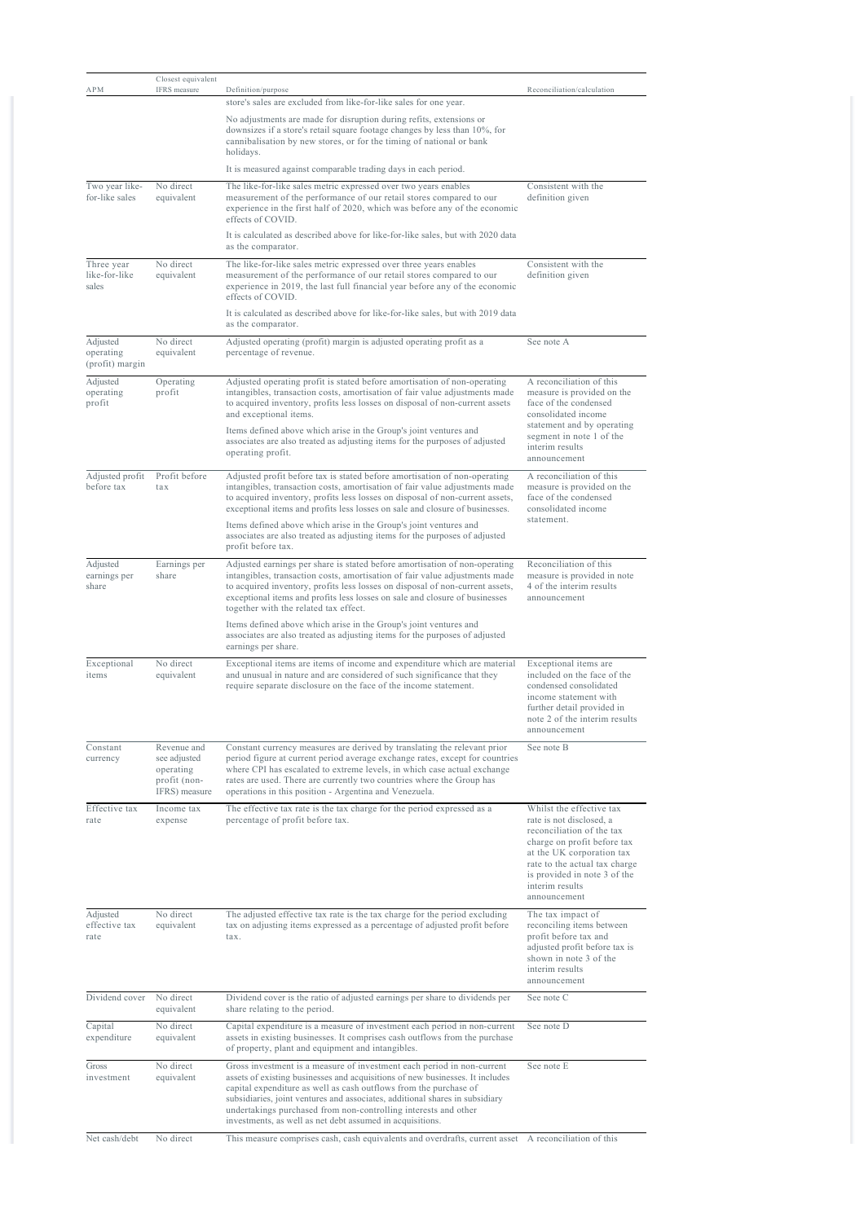|                                          | Closest equivalent                                                        |                                                                                                                                                                                                                                                                                                                                                                                                                                              |                                                                                                                                                                                                                                                   |
|------------------------------------------|---------------------------------------------------------------------------|----------------------------------------------------------------------------------------------------------------------------------------------------------------------------------------------------------------------------------------------------------------------------------------------------------------------------------------------------------------------------------------------------------------------------------------------|---------------------------------------------------------------------------------------------------------------------------------------------------------------------------------------------------------------------------------------------------|
| <b>APM</b>                               | IFRS measure                                                              | Definition/purpose<br>store's sales are excluded from like-for-like sales for one year.                                                                                                                                                                                                                                                                                                                                                      | Reconciliation/calculation                                                                                                                                                                                                                        |
|                                          |                                                                           | No adjustments are made for disruption during refits, extensions or<br>downsizes if a store's retail square footage changes by less than 10%, for<br>cannibalisation by new stores, or for the timing of national or bank<br>holidays.                                                                                                                                                                                                       |                                                                                                                                                                                                                                                   |
|                                          |                                                                           | It is measured against comparable trading days in each period.                                                                                                                                                                                                                                                                                                                                                                               |                                                                                                                                                                                                                                                   |
| Two year like-<br>for-like sales         | No direct<br>equivalent                                                   | The like-for-like sales metric expressed over two years enables<br>measurement of the performance of our retail stores compared to our<br>experience in the first half of 2020, which was before any of the economic<br>effects of COVID.                                                                                                                                                                                                    | Consistent with the<br>definition given                                                                                                                                                                                                           |
|                                          |                                                                           | It is calculated as described above for like-for-like sales, but with 2020 data<br>as the comparator.                                                                                                                                                                                                                                                                                                                                        |                                                                                                                                                                                                                                                   |
| Three year<br>like-for-like<br>sales     | No direct<br>equivalent                                                   | The like-for-like sales metric expressed over three years enables<br>measurement of the performance of our retail stores compared to our<br>experience in 2019, the last full financial year before any of the economic<br>effects of COVID.                                                                                                                                                                                                 | Consistent with the<br>definition given                                                                                                                                                                                                           |
|                                          |                                                                           | It is calculated as described above for like-for-like sales, but with 2019 data<br>as the comparator.                                                                                                                                                                                                                                                                                                                                        |                                                                                                                                                                                                                                                   |
| Adjusted<br>operating<br>(profit) margin | No direct<br>equivalent                                                   | Adjusted operating (profit) margin is adjusted operating profit as a<br>percentage of revenue.                                                                                                                                                                                                                                                                                                                                               | See note A                                                                                                                                                                                                                                        |
| Adjusted<br>operating<br>profit          | Operating<br>profit                                                       | Adjusted operating profit is stated before amortisation of non-operating<br>intangibles, transaction costs, amortisation of fair value adjustments made<br>to acquired inventory, profits less losses on disposal of non-current assets<br>and exceptional items.                                                                                                                                                                            | A reconciliation of this<br>measure is provided on the<br>face of the condensed<br>consolidated income                                                                                                                                            |
|                                          |                                                                           | Items defined above which arise in the Group's joint ventures and<br>associates are also treated as adjusting items for the purposes of adjusted<br>operating profit.                                                                                                                                                                                                                                                                        | statement and by operating<br>segment in note 1 of the<br>interim results<br>announcement                                                                                                                                                         |
| Adjusted profit<br>before tax            | Profit before<br>tax                                                      | Adjusted profit before tax is stated before amortisation of non-operating<br>intangibles, transaction costs, amortisation of fair value adjustments made<br>to acquired inventory, profits less losses on disposal of non-current assets,<br>exceptional items and profits less losses on sale and closure of businesses.<br>Items defined above which arise in the Group's joint ventures and                                               | A reconciliation of this<br>measure is provided on the<br>face of the condensed<br>consolidated income<br>statement.                                                                                                                              |
|                                          |                                                                           | associates are also treated as adjusting items for the purposes of adjusted<br>profit before tax.                                                                                                                                                                                                                                                                                                                                            |                                                                                                                                                                                                                                                   |
| Adjusted<br>earnings per<br>share        | Earnings per<br>share                                                     | Adjusted earnings per share is stated before amortisation of non-operating<br>intangibles, transaction costs, amortisation of fair value adjustments made<br>to acquired inventory, profits less losses on disposal of non-current assets,<br>exceptional items and profits less losses on sale and closure of businesses<br>together with the related tax effect.                                                                           | Reconciliation of this<br>measure is provided in note<br>4 of the interim results<br>announcement                                                                                                                                                 |
|                                          |                                                                           | Items defined above which arise in the Group's joint ventures and<br>associates are also treated as adjusting items for the purposes of adjusted<br>earnings per share.                                                                                                                                                                                                                                                                      |                                                                                                                                                                                                                                                   |
| Exceptional<br>items                     | No direct<br>equivalent                                                   | Exceptional items are items of income and expenditure which are material<br>and unusual in nature and are considered of such significance that they<br>require separate disclosure on the face of the income statement.                                                                                                                                                                                                                      | Exceptional items are<br>included on the face of the<br>condensed consolidated<br>income statement with<br>further detail provided in<br>note 2 of the interim results<br>announcement                                                            |
| Constant<br>currency                     | Revenue and<br>see adjusted<br>operating<br>profit (non-<br>IFRS) measure | Constant currency measures are derived by translating the relevant prior<br>period figure at current period average exchange rates, except for countries<br>where CPI has escalated to extreme levels, in which case actual exchange<br>rates are used. There are currently two countries where the Group has<br>operations in this position - Argentina and Venezuela.                                                                      | See note B                                                                                                                                                                                                                                        |
| Effective tax<br>rate                    | Income tax<br>expense                                                     | The effective tax rate is the tax charge for the period expressed as a<br>percentage of profit before tax.                                                                                                                                                                                                                                                                                                                                   | Whilst the effective tax<br>rate is not disclosed, a<br>reconciliation of the tax<br>charge on profit before tax<br>at the UK corporation tax<br>rate to the actual tax charge<br>is provided in note 3 of the<br>interim results<br>announcement |
| Adjusted<br>effective tax<br>rate        | No direct<br>equivalent                                                   | The adjusted effective tax rate is the tax charge for the period excluding<br>tax on adjusting items expressed as a percentage of adjusted profit before<br>tax.                                                                                                                                                                                                                                                                             | The tax impact of<br>reconciling items between<br>profit before tax and<br>adjusted profit before tax is<br>shown in note 3 of the<br>interim results<br>announcement                                                                             |
| Dividend cover                           | No direct<br>equivalent                                                   | Dividend cover is the ratio of adjusted earnings per share to dividends per<br>share relating to the period.                                                                                                                                                                                                                                                                                                                                 | See note C                                                                                                                                                                                                                                        |
| Capital<br>expenditure                   | No direct<br>equivalent                                                   | Capital expenditure is a measure of investment each period in non-current<br>assets in existing businesses. It comprises cash outflows from the purchase<br>of property, plant and equipment and intangibles.                                                                                                                                                                                                                                | See note D                                                                                                                                                                                                                                        |
| Gross<br>investment                      | No direct<br>equivalent                                                   | Gross investment is a measure of investment each period in non-current<br>assets of existing businesses and acquisitions of new businesses. It includes<br>capital expenditure as well as cash outflows from the purchase of<br>subsidiaries, joint ventures and associates, additional shares in subsidiary<br>undertakings purchased from non-controlling interests and other<br>investments, as well as net debt assumed in acquisitions. | See note E                                                                                                                                                                                                                                        |
| Net cash/debt                            | No direct                                                                 | This measure comprises cash, cash equivalents and overdrafts, current asset A reconciliation of this                                                                                                                                                                                                                                                                                                                                         |                                                                                                                                                                                                                                                   |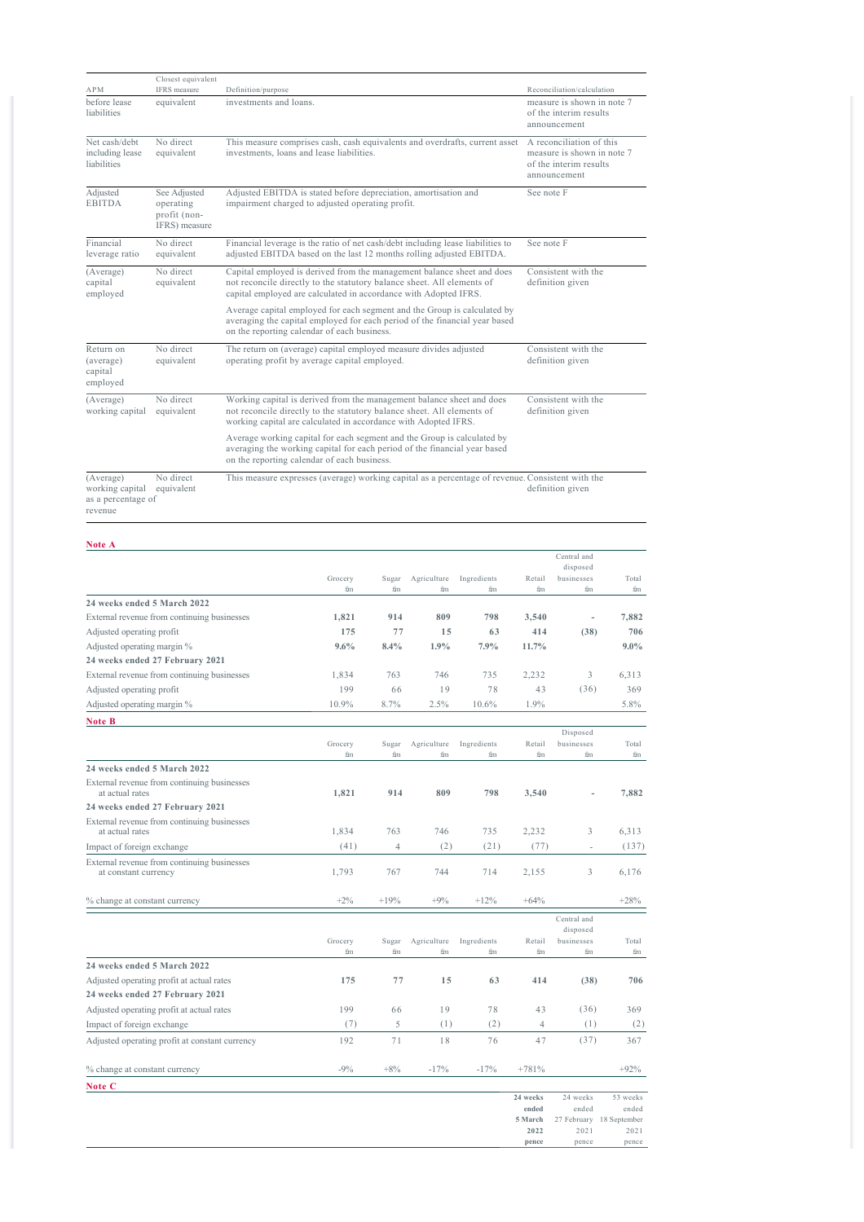|                                                               | Closest equivalent                                         |                                                                                                                                                                                                                      |                                                                                                    |
|---------------------------------------------------------------|------------------------------------------------------------|----------------------------------------------------------------------------------------------------------------------------------------------------------------------------------------------------------------------|----------------------------------------------------------------------------------------------------|
| <b>APM</b><br>before lease<br>liabilities                     | IFRS measure<br>equivalent                                 | Definition/purpose<br>investments and loans.                                                                                                                                                                         | Reconciliation/calculation<br>measure is shown in note 7<br>of the interim results<br>announcement |
| Net cash/debt<br>including lease<br>liabilities               | No direct<br>equivalent                                    | This measure comprises cash, cash equivalents and overdrafts, current asset<br>investments, loans and lease liabilities.                                                                                             | A reconciliation of this<br>measure is shown in note 7<br>of the interim results<br>announcement   |
| Adjusted<br><b>EBITDA</b>                                     | See Adjusted<br>operating<br>profit (non-<br>IFRS) measure | Adjusted EBITDA is stated before depreciation, amortisation and<br>impairment charged to adjusted operating profit.                                                                                                  | See note F                                                                                         |
| Financial<br>leverage ratio                                   | No direct<br>equivalent                                    | Financial leverage is the ratio of net cash/debt including lease liabilities to<br>adjusted EBITDA based on the last 12 months rolling adjusted EBITDA.                                                              | See note F                                                                                         |
| (Average)<br>capital<br>employed                              | No direct<br>equivalent                                    | Capital employed is derived from the management balance sheet and does<br>not reconcile directly to the statutory balance sheet. All elements of<br>capital employed are calculated in accordance with Adopted IFRS. | Consistent with the<br>definition given                                                            |
|                                                               |                                                            | Average capital employed for each segment and the Group is calculated by<br>averaging the capital employed for each period of the financial year based<br>on the reporting calendar of each business.                |                                                                                                    |
| Return on<br>(average)<br>capital<br>employed                 | No direct<br>equivalent                                    | The return on (average) capital employed measure divides adjusted<br>operating profit by average capital employed.                                                                                                   | Consistent with the<br>definition given                                                            |
| (Average)<br>working capital                                  | No direct<br>equivalent                                    | Working capital is derived from the management balance sheet and does<br>not reconcile directly to the statutory balance sheet. All elements of<br>working capital are calculated in accordance with Adopted IFRS.   | Consistent with the<br>definition given                                                            |
|                                                               |                                                            | Average working capital for each segment and the Group is calculated by<br>averaging the working capital for each period of the financial year based<br>on the reporting calendar of each business.                  |                                                                                                    |
| (Average)<br>working capital<br>as a percentage of<br>revenue | No direct<br>equivalent                                    | This measure expresses (average) working capital as a percentage of revenue. Consistent with the                                                                                                                     | definition given                                                                                   |

**Note A** Grocery £m Sugar Agriculture Ingredients £m £m £m Retail £m Central and disposed businesses £m Total  $\operatorname{fm}$ **24 weeks ended 5 March 2022** External revenue from continuing businesses **1,821 914 809 798 3,540 - 7,882** Adjusted operating profit **175 77 15 63 414 (38) 706** Adjusted operating margin % **9.6% 8.4% 1.9% 7.9% 11.7% 9.0% 24 weeks ended 27 February 2021** External revenue from continuing businesses 1,834 763 746 735 2,232 3 6,313 Adjusted operating profit 199 66 19 78 43 (36) 369 Adjusted operating margin % 10.9% 8.7% 2.5% 10.6% 1.9% 5.8% 5.8% **Note B** Grocery £m Sugar £m Agriculture £m Ingredients £m Retail £m Disposed businesses £m Total £m **24 weeks ended 5 March 2022** External revenue from continuing businesses at actual rates **1,821 914 809 798 3,540 - 7,882 24 weeks ended 27 February 2021** External revenue from continuing businesses at actual rates 1,834 763 746 735 2,232 3 6,313 Impact of foreign exchange (41) 4 (2) (21) (77) - (137) External revenue from continuing businesses<br>
at constant currency 1,793 767 744 714 2,155 3 6,176 % change at constant currency  $+2\%$   $+19\%$   $+9\%$   $+12\%$   $+64\%$   $+64\%$ Grocery £m Sugar £m Agriculture £m Ingredients £m Retail £m Central and disposed businesses £m Total £m **24 weeks ended 5 March 2022** Adjusted operating profit at actual rates **175 77 15 63 414 (38) 706 24 weeks ended 27 February 2021** Adjusted operating profit at actual rates 199 66 19 78 43 (36) 369 Impact of foreign exchange (7) 5 (1) (2) 4 (1) (2) Adjusted operating profit at constant currency 192 71 18 76 47 (37) 367 % change at constant currency  $-9\%$   $+8\%$   $-17\%$   $-17\%$   $+781\%$   $+92\%$ **Note C**

**24 weeks ended 5 March 2022 pence** 24 weeks ended 27 February 2021 penc 53 weeks ended 18 September 2021 pence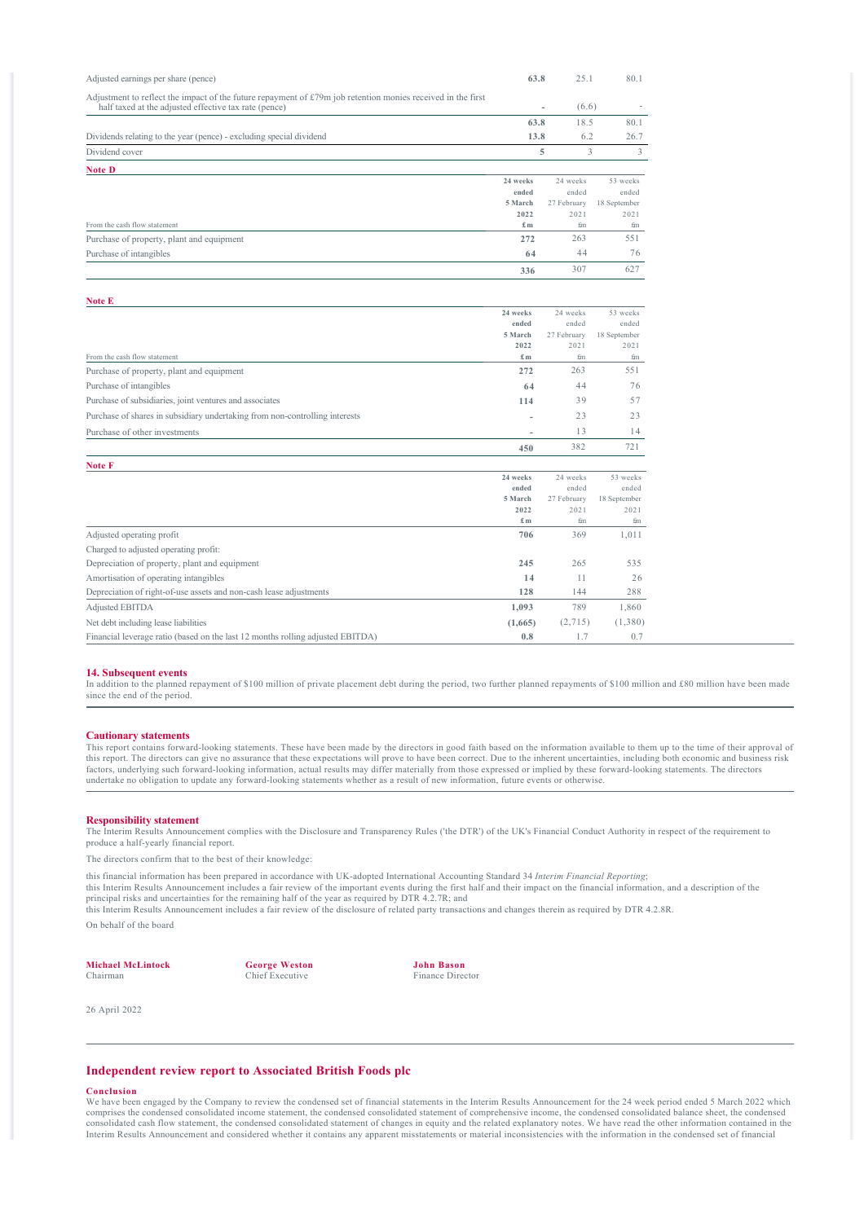| Adjusted earnings per share (pence)                                                                                                                                  | 63.8     | 25.1        | 80.1         |
|----------------------------------------------------------------------------------------------------------------------------------------------------------------------|----------|-------------|--------------|
| Adjustment to reflect the impact of the future repayment of £79m job retention monies received in the first<br>half taxed at the adjusted effective tax rate (pence) |          | (6.6)<br>٠  |              |
|                                                                                                                                                                      | 63.8     | 18.5        | 80.1         |
| Dividends relating to the year (pence) - excluding special dividend                                                                                                  | 13.8     | 6.2         | 26.7         |
| Dividend cover                                                                                                                                                       |          | 5<br>3      | 3            |
| <b>Note D</b>                                                                                                                                                        |          |             |              |
|                                                                                                                                                                      | 24 weeks | 24 weeks    | 53 weeks     |
|                                                                                                                                                                      | ended    | ended       | ended        |
|                                                                                                                                                                      | 5 March  | 27 February | 18 September |
|                                                                                                                                                                      | 2022     | 2021        | 2021         |
| From the cash flow statement                                                                                                                                         | £m       | fin         | fim          |
| Purchase of property, plant and equipment                                                                                                                            | 272      | 263         | 551          |
| Purchase of intangibles                                                                                                                                              | 64       | 44          | 76           |
|                                                                                                                                                                      | 336      | 307         | 627          |

| Note E                                                                         |            |             |              |
|--------------------------------------------------------------------------------|------------|-------------|--------------|
|                                                                                | 24 weeks   | 24 weeks    | 53 weeks     |
|                                                                                | ended      | ended       | ended        |
|                                                                                | 5 March    | 27 February | 18 September |
|                                                                                | 2022       | 2021        | 2021         |
| From the cash flow statement                                                   | £m         | fm          | fim          |
| Purchase of property, plant and equipment                                      | 272        | 263         | 551          |
| Purchase of intangibles                                                        | 64         | 44          | 76           |
| Purchase of subsidiaries, joint ventures and associates                        | 114        | 39          | 57           |
| Purchase of shares in subsidiary undertaking from non-controlling interests    |            | 23          | 23           |
| Purchase of other investments                                                  |            | 13          | 14           |
|                                                                                | 450        | 382         | 721          |
| <b>Note F</b>                                                                  |            |             |              |
|                                                                                | 24 weeks   | 24 weeks    | 53 weeks     |
|                                                                                | ended      | ended       | ended        |
|                                                                                | 5 March    | 27 February | 18 September |
|                                                                                | 2022<br>£m | 2021<br>fin | 2021<br>fm   |
| Adjusted operating profit                                                      | 706        | 369         | 1,011        |
| Charged to adjusted operating profit:                                          |            |             |              |
| Depreciation of property, plant and equipment                                  | 245        | 265         | 535          |
| Amortisation of operating intangibles                                          | 14         | 11          | 26           |
| Depreciation of right-of-use assets and non-cash lease adjustments             | 128        | 144         | 288          |
| Adjusted EBITDA                                                                | 1.093      | 789         | 1,860        |
| Net debt including lease liabilities                                           | (1,665)    | (2, 715)    | (1,380)      |
| Financial leverage ratio (based on the last 12 months rolling adjusted EBITDA) | 0.8        | 1.7         | 0.7          |

#### **14. Subsequent events**

In addition to the planned repayment of \$100 million of private placement debt during the period, two further planned repayments of \$100 million and £80 million have been made since the end of the period.

#### **Cautionary statements**

This report contains forward-looking statements. These have been made by the directors in good faith based on the information available to them up to the time of their approval of<br>this report. The directors can give no ass factors, underlying such forward-looking information, actual results may differ materially from those expressed or implied by these forward-looking statements. The directors undertake no obligation to update any forward-looking statements whether as a result of new information, future events or otherwise.

### **Responsibility statement**

The Interim Results Announcement complies with the Disclosure and Transparency Rules ('the DTR') of the UK's Financial Conduct Authority in respect of the requirement to produce a half-yearly financial report.

The directors confirm that to the best of their knowledge:

this financial information has been prepared in accordance with UK-adopted International Accounting Standard 34 *Interim Financial Reporting*; this Interim Results Announcement includes a fair review of the important events during the first half and their impact on the financial information, and a description of the principal risks and uncertainties for the remai this Interim Results Announcement includes a fair review of the disclosure of related party transactions and changes therein as required by DTR 4.2.8R. On behalf of the board

**Michael McLintock** 

Chairman

Chief Executive

**John Bason** Finance Director

26 April 2022

#### **Independent review report to Associated British Foods plc**

**George Weston**

**Conclusion** We have been engaged by the Company to review the condensed set of financial statements in the Interim Results Announcement for the 24 week period ended 5 March 2022 which comprises the condensed consolidated income statement, the condensed consolidated statement of comprehensive income, the condensed consolidated balance sheet, the condensed consolidated cash flow statement, the condensed consolidated statement of changes in equity and the related explanatory notes. We have read the other information contained in the the statements or material inconsistencies